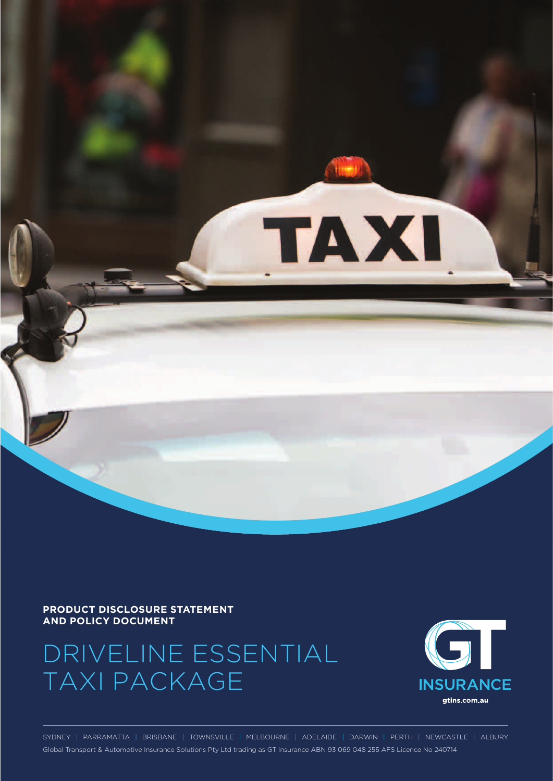

#### **PRODUCT DISCLOSURE STATEMENT AND POLICY DOCUMENT**

# DRIVELINE ESSENTIAL TAXI PACKAGE



SYDNEY | PARRAMATTA | BRISBANE | TOWNSVILLE | MELBOURNE | ADELAIDE | DARWIN | PERTH | NEWCASTLE | ALBURY Global Transport & Automotive Insurance Solutions Pty Ltd trading as GT Insurance ABN 93 069 048 255 AFS Licence No 240714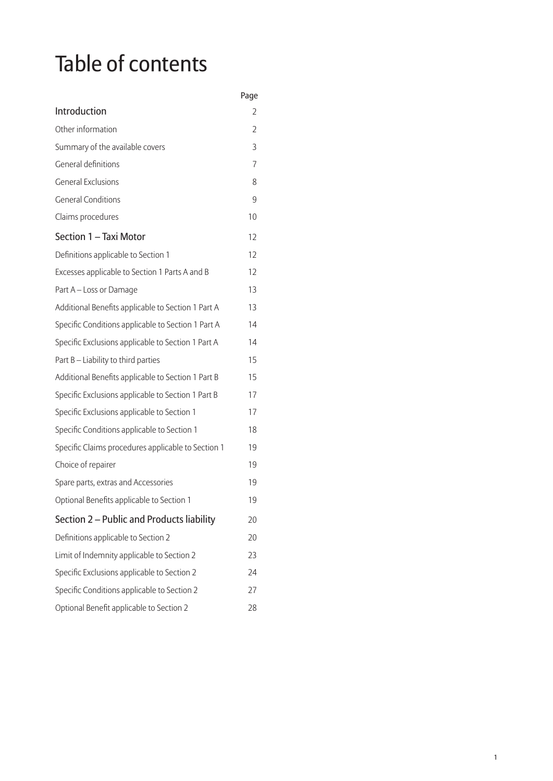# Table of contents

|                                                    | Page |
|----------------------------------------------------|------|
| Introduction                                       | 2    |
| Other information                                  | 2    |
| Summary of the available covers                    | 3    |
| General definitions                                | 7    |
| <b>General Exclusions</b>                          | 8    |
| <b>General Conditions</b>                          | 9    |
| Claims procedures                                  | 10   |
| Section 1 - Taxi Motor                             | 12   |
| Definitions applicable to Section 1                | 12   |
| Excesses applicable to Section 1 Parts A and B     | 12   |
| Part A - Loss or Damage                            | 13   |
| Additional Benefits applicable to Section 1 Part A | 13   |
| Specific Conditions applicable to Section 1 Part A | 14   |
| Specific Exclusions applicable to Section 1 Part A | 14   |
| Part B - Liability to third parties                | 15   |
| Additional Benefits applicable to Section 1 Part B | 15   |
| Specific Exclusions applicable to Section 1 Part B | 17   |
| Specific Exclusions applicable to Section 1        | 17   |
| Specific Conditions applicable to Section 1        | 18   |
| Specific Claims procedures applicable to Section 1 | 19   |
| Choice of repairer                                 | 19   |
| Spare parts, extras and Accessories                | 19   |
| Optional Benefits applicable to Section 1          | 19   |
| Section 2 - Public and Products liability          | 20   |
| Definitions applicable to Section 2                | 20   |
| Limit of Indemnity applicable to Section 2         | 23   |
| Specific Exclusions applicable to Section 2        | 24   |
| Specific Conditions applicable to Section 2        | 27   |
| Optional Benefit applicable to Section 2           | 28   |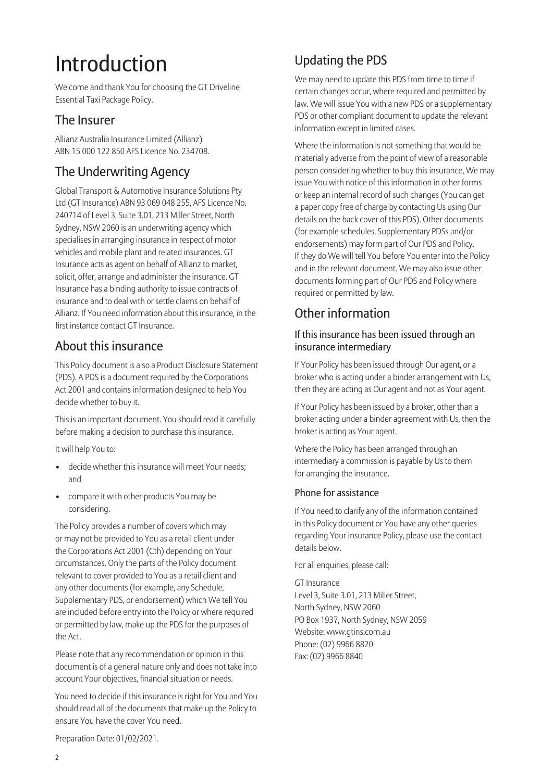# Introduction

Welcome and thank You for choosing the GT Driveline Essential Taxi Package Policy.

# The Insurer

Allianz Australia Insurance Limited (Allianz) ABN 15 000 122 850 AFS Licence No. 234708.

# The Underwriting Agency

Global Transport & Automotive Insurance Solutions Pty Ltd (GT Insurance) ABN 93 069 048 255, AFS Licence No. 240714 of Level 3, Suite 3.01, 213 Miller Street, North Sydney, NSW 2060 is an underwriting agency which specialises in arranging insurance in respect of motor vehicles and mobile plant and related insurances. GT Insurance acts as agent on behalf of Allianz to market, solicit, offer, arrange and administer the insurance. GT Insurance has a binding authority to issue contracts of insurance and to deal with or settle claims on behalf of Allianz. If You need information about this insurance, in the first instance contact GT Insurance.

# About this insurance

This Policy document is also a Product Disclosure Statement (PDS). A PDS is a document required by the Corporations Act 2001 and contains information designed to help You decide whether to buy it.

This is an important document. You should read it carefully before making a decision to purchase this insurance.

It will help You to:

- decide whether this insurance will meet Your needs; and
- compare it with other products You may be considering.

The Policy provides a number of covers which may or may not be provided to You as a retail client under the Corporations Act 2001 (Cth) depending on Your circumstances. Only the parts of the Policy document relevant to cover provided to You as a retail client and any other documents (for example, any Schedule, Supplementary PDS, or endorsement) which We tell You are included before entry into the Policy or where required or permitted by law, make up the PDS for the purposes of the Act.

Please note that any recommendation or opinion in this document is of a general nature only and does not take into account Your objectives, financial situation or needs.

You need to decide if this insurance is right for You and You should read all of the documents that make up the Policy to ensure You have the cover You need.

# Updating the PDS

We may need to update this PDS from time to time if certain changes occur, where required and permitted by law. We will issue You with a new PDS or a supplementary PDS or other compliant document to update the relevant information except in limited cases.

Where the information is not something that would be materially adverse from the point of view of a reasonable person considering whether to buy this insurance, We may issue You with notice of this information in other forms or keep an internal record of such changes (You can get a paper copy free of charge by contacting Us using Our details on the back cover of this PDS). Other documents (for example schedules, Supplementary PDSs and/or endorsements) may form part of Our PDS and Policy. If they do We will tell You before You enter into the Policy and in the relevant document. We may also issue other documents forming part of Our PDS and Policy where required or permitted by law.

# Other information

# If this insurance has been issued through an insurance intermediary

If Your Policy has been issued through Our agent, or a broker who is acting under a binder arrangement with Us, then they are acting as Our agent and not as Your agent.

If Your Policy has been issued by a broker, other than a broker acting under a binder agreement with Us, then the broker is acting as Your agent.

Where the Policy has been arranged through an intermediary a commission is payable by Us to them for arranging the insurance.

## Phone for assistance

If You need to clarify any of the information contained in this Policy document or You have any other queries regarding Your insurance Policy, please use the contact details below.

For all enquiries, please call:

GT Insurance Level 3, Suite 3.01, 213 Miller Street, North Sydney, NSW 2060 PO Box 1937, North Sydney, NSW 2059 Website: www.gtins.com.au Phone: (02) 9966 8820 Fax: (02) 9966 8840

Preparation Date: 01/02/2021.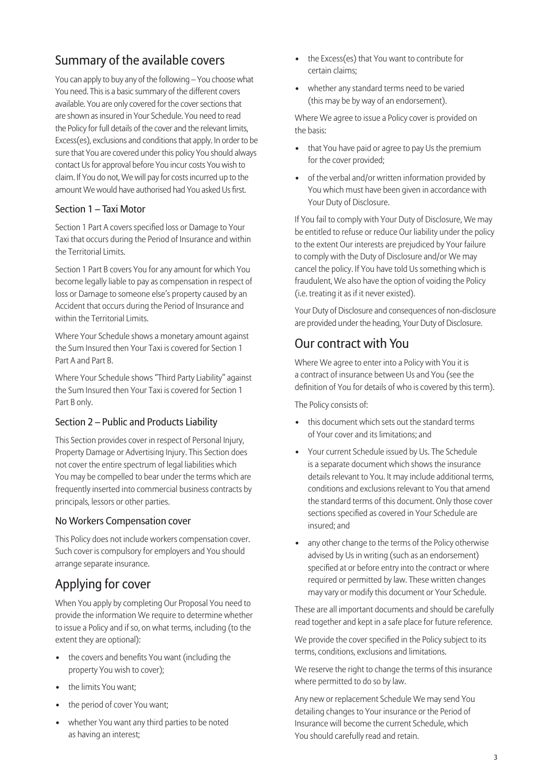# Summary of the available covers

You can apply to buy any of the following – You choose what You need. This is a basic summary of the different covers available. You are only covered for the cover sections that are shown as insured in Your Schedule. You need to read the Policy for full details of the cover and the relevant limits, Excess(es), exclusions and conditions that apply. In order to be sure that You are covered under this policy You should always contact Us for approval before You incur costs You wish to claim. If You do not, We will pay for costs incurred up to the amount We would have authorised had You asked Us first.

#### Section 1 – Taxi Motor

Section 1 Part A covers specified loss or Damage to Your Taxi that occurs during the Period of Insurance and within the Territorial Limits.

Section 1 Part B covers You for any amount for which You become legally liable to pay as compensation in respect of loss or Damage to someone else's property caused by an Accident that occurs during the Period of Insurance and within the Territorial Limits.

Where Your Schedule shows a monetary amount against the Sum Insured then Your Taxi is covered for Section 1 Part A and Part B.

Where Your Schedule shows "Third Party Liability" against the Sum Insured then Your Taxi is covered for Section 1 Part B only.

## Section 2 – Public and Products Liability

This Section provides cover in respect of Personal Injury, Property Damage or Advertising Injury. This Section does not cover the entire spectrum of legal liabilities which You may be compelled to bear under the terms which are frequently inserted into commercial business contracts by principals, lessors or other parties.

#### No Workers Compensation cover

This Policy does not include workers compensation cover. Such cover is compulsory for employers and You should arrange separate insurance.

# Applying for cover

When You apply by completing Our Proposal You need to provide the information We require to determine whether to issue a Policy and if so, on what terms, including (to the extent they are optional):

- the covers and benefits You want (including the property You wish to cover);
- the limits You want:
- the period of cover You want;
- whether You want any third parties to be noted as having an interest;
- the Excess(es) that You want to contribute for certain claims;
- whether any standard terms need to be varied (this may be by way of an endorsement).

Where We agree to issue a Policy cover is provided on the basis:

- that You have paid or agree to pay Us the premium for the cover provided;
- of the verbal and/or written information provided by You which must have been given in accordance with Your Duty of Disclosure.

If You fail to comply with Your Duty of Disclosure, We may be entitled to refuse or reduce Our liability under the policy to the extent Our interests are prejudiced by Your failure to comply with the Duty of Disclosure and/or We may cancel the policy. If You have told Us something which is fraudulent, We also have the option of voiding the Policy (i.e. treating it as if it never existed).

Your Duty of Disclosure and consequences of non-disclosure are provided under the heading, Your Duty of Disclosure.

# Our contract with You

Where We agree to enter into a Policy with You it is a contract of insurance between Us and You (see the definition of You for details of who is covered by this term).

The Policy consists of:

- this document which sets out the standard terms of Your cover and its limitations; and
- Your current Schedule issued by Us. The Schedule is a separate document which shows the insurance details relevant to You. It may include additional terms, conditions and exclusions relevant to You that amend the standard terms of this document. Only those cover sections specified as covered in Your Schedule are insured; and
- any other change to the terms of the Policy otherwise advised by Us in writing (such as an endorsement) specified at or before entry into the contract or where required or permitted by law. These written changes may vary or modify this document or Your Schedule.

These are all important documents and should be carefully read together and kept in a safe place for future reference.

We provide the cover specified in the Policy subject to its terms, conditions, exclusions and limitations.

We reserve the right to change the terms of this insurance where permitted to do so by law.

Any new or replacement Schedule We may send You detailing changes to Your insurance or the Period of Insurance will become the current Schedule, which You should carefully read and retain.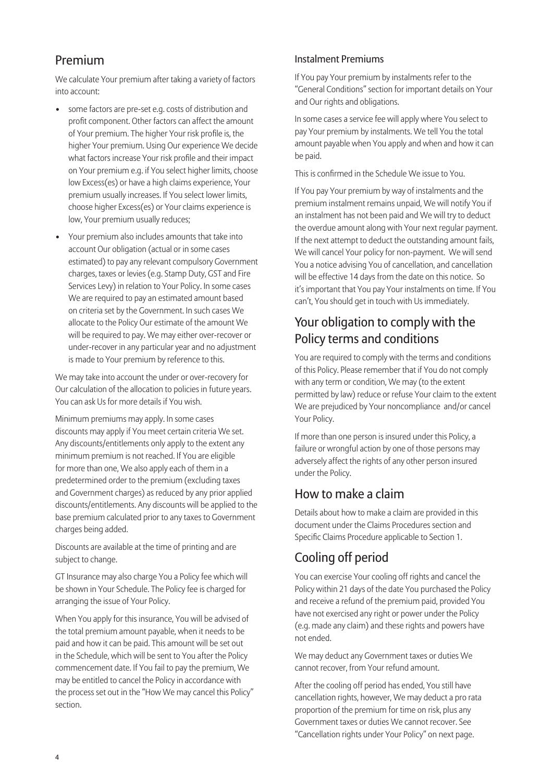# Premium

We calculate Your premium after taking a variety of factors into account:

- some factors are pre-set e.g. costs of distribution and profit component. Other factors can affect the amount of Your premium. The higher Your risk profile is, the higher Your premium. Using Our experience We decide what factors increase Your risk profile and their impact on Your premium e.g. if You select higher limits, choose low Excess(es) or have a high claims experience, Your premium usually increases. If You select lower limits, choose higher Excess(es) or Your claims experience is low, Your premium usually reduces;
- Your premium also includes amounts that take into account Our obligation (actual or in some cases estimated) to pay any relevant compulsory Government charges, taxes or levies (e.g. Stamp Duty, GST and Fire Services Levy) in relation to Your Policy. In some cases We are required to pay an estimated amount based on criteria set by the Government. In such cases We allocate to the Policy Our estimate of the amount We will be required to pay. We may either over-recover or under-recover in any particular year and no adjustment is made to Your premium by reference to this.

We may take into account the under or over-recovery for Our calculation of the allocation to policies in future years. You can ask Us for more details if You wish.

Minimum premiums may apply. In some cases discounts may apply if You meet certain criteria We set. Any discounts/entitlements only apply to the extent any minimum premium is not reached. If You are eligible for more than one, We also apply each of them in a predetermined order to the premium (excluding taxes and Government charges) as reduced by any prior applied discounts/entitlements. Any discounts will be applied to the base premium calculated prior to any taxes to Government charges being added.

Discounts are available at the time of printing and are subject to change.

GT Insurance may also charge You a Policy fee which will be shown in Your Schedule. The Policy fee is charged for arranging the issue of Your Policy.

When You apply for this insurance, You will be advised of the total premium amount payable, when it needs to be paid and how it can be paid. This amount will be set out in the Schedule, which will be sent to You after the Policy commencement date. If You fail to pay the premium, We may be entitled to cancel the Policy in accordance with the process set out in the "How We may cancel this Policy" section.

### I nstalment Premiums

If You pay Your premium by instalments refer to the "General Conditions" section for important details on Your and Our rights and obligations.

In some cases a service fee will apply where You select to pay Your premium by instalments. We tell You the total amount payable when You apply and when and how it can be paid.

This is confirmed in the Schedule We issue to You.

If You pay Your premium by way of instalments and the premium instalment remains unpaid, We will notify You if an instalment has not been paid and We will try to deduct the overdue amount along with Your next regular payment. If the next attempt to deduct the outstanding amount fails, We will cancel Your policy for non-payment. We will send You a notice advising You of cancellation, and cancellation will be effective 14 days from the date on this notice. So it's important that You pay Your instalments on time. If You can't, You should get in touch with Us immediately.

# Your obligation to comply with the Policy terms and conditions

You are required to comply with the terms and conditions of this Policy. Please remember that if You do not comply with any term or condition, We may (to the extent permitted by law) reduce or refuse Your claim to the extent We are prejudiced by Your noncompliance and/or cancel Your Policy.

If more than one person is insured under this Policy, a failure or wrongful action by one of those persons may adversely affect the rights of any other person insured under the Policy.

# How to make a claim

Details about how to make a claim are provided in this document under the Claims Procedures section and Specific Claims Procedure applicable to Section 1.

# Cooling off period

You can exercise Your cooling off rights and cancel the Policy within 21 days of the date You purchased the Policy and receive a refund of the premium paid, provided You have not exercised any right or power under the Policy (e.g. made any claim) and these rights and powers have not ended.

We may deduct any Government taxes or duties We cannot recover, from Your refund amount.

After the cooling off period has ended, You still have cancellation rights, however, We may deduct a pro rata proportion of the premium for time on risk, plus any Government taxes or duties We cannot recover. See "Cancellation rights under Your Policy" on next page.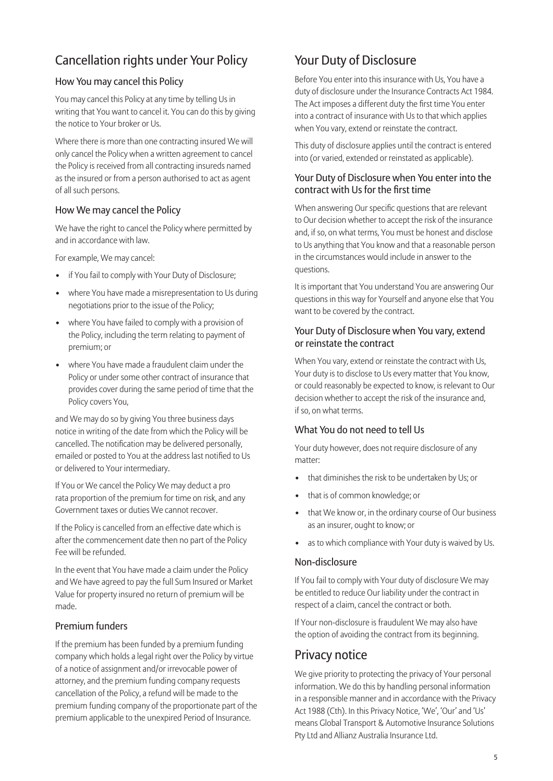# Cancellation rights under Your Policy

### How You may cancel this Policy

You may cancel this Policy at any time by telling Us in writing that You want to cancel it. You can do this by giving the notice to Your broker or Us.

Where there is more than one contracting insured We will only cancel the Policy when a written agreement to cancel the Policy is received from all contracting insureds named as the insured or from a person authorised to act as agent of all such persons.

### How We may cancel the Policy

We have the right to cancel the Policy where permitted by and in accordance with law.

For example, We may cancel:

- if You fail to comply with Your Duty of Disclosure;
- where You have made a misrepresentation to Us during negotiations prior to the issue of the Policy;
- where You have failed to comply with a provision of the Policy, including the term relating to payment of premium; or
- where You have made a fraudulent claim under the Policy or under some other contract of insurance that provides cover during the same period of time that the Policy covers You,

and We may do so by giving You three business days notice in writing of the date from which the Policy will be cancelled. The notification may be delivered personally, emailed or posted to You at the address last notified to Us or delivered to Your intermediary.

If You or We cancel the Policy We may deduct a pro rata proportion of the premium for time on risk, and any Government taxes or duties We cannot recover.

If the Policy is cancelled from an effective date which is after the commencement date then no part of the Policy Fee will be refunded.

In the event that You have made a claim under the Policy and We have agreed to pay the full Sum Insured or Market Value for property insured no return of premium will be made.

## Premium funders

If the premium has been funded by a premium funding company which holds a legal right over the Policy by virtue of a notice of assignment and/or irrevocable power of attorney, and the premium funding company requests cancellation of the Policy, a refund will be made to the premium funding company of the proportionate part of the premium applicable to the unexpired Period of Insurance.

# Your Duty of Disclosure

Before You enter into this insurance with Us, You have a duty of disclosure under the Insurance Contracts Act 1984. The Act imposes a different duty the first time You enter into a contract of insurance with Us to that which applies when You vary, extend or reinstate the contract.

This duty of disclosure applies until the contract is entered into (or varied, extended or reinstated as applicable).

#### Your Duty of Disclosure when You enter into the contract with Us for the first time

When answering Our specific questions that are relevant to Our decision whether to accept the risk of the insurance and, if so, on what terms, You must be honest and disclose to Us anything that You know and that a reasonable person in the circumstances would include in answer to the questions.

It is important that You understand You are answering Our questions in this way for Yourself and anyone else that You want to be covered by the contract.

### Your Duty of Disclosure when You vary, extend or reinstate the contract

When You vary, extend or reinstate the contract with Us, Your duty is to disclose to Us every matter that You know, or could reasonably be expected to know, is relevant to Our decision whether to accept the risk of the insurance and, if so, on what terms.

#### What You do not need to tell Us

Your duty however, does not require disclosure of any matter:

- that diminishes the risk to be undertaken by Us; or
- that is of common knowledge; or
- that We know or, in the ordinary course of Our business as an insurer, ought to know; or
- as to which compliance with Your duty is waived by Us.

#### Non-disclosure

If You fail to comply with Your duty of disclosure We may be entitled to reduce Our liability under the contract in respect of a claim, cancel the contract or both.

If Your non-disclosure is fraudulent We may also have the option of avoiding the contract from its beginning.

# Privacy notice

We give priority to protecting the privacy of Your personal information. We do this by handling personal information in a responsible manner and in accordance with the Privacy Act 1988 (Cth). In this Privacy Notice, 'We', 'Our' and 'Us' means Global Transport & Automotive Insurance Solutions Pty Ltd and Allianz Australia Insurance Ltd.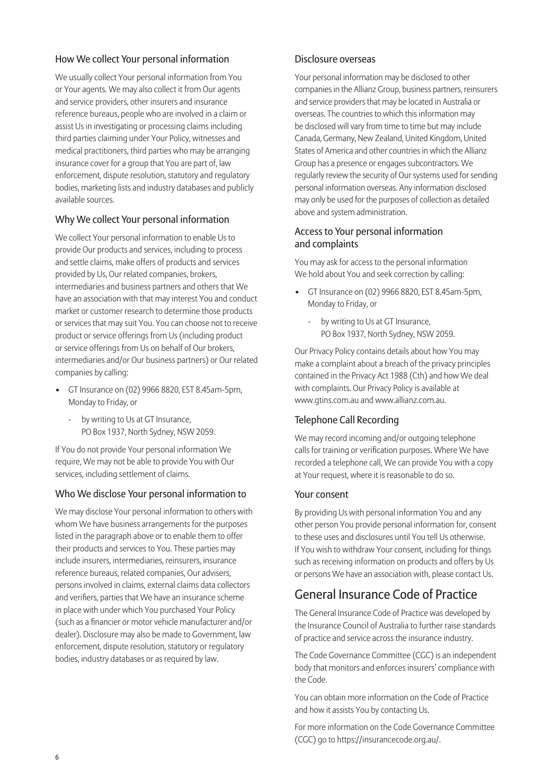## How We collect Your personal information

We usually collect Your personal information from You or Your agents. We may also collect it from Our agents and service providers, other insurers and insurance reference bureaus, people who are involved in a claim or assist Us in investigating or processing claims including third parties claiming under Your Policy, witnesses and medical practitioners, third parties who may be arranging insurance cover for a group that You are part of, law enforcement, dispute resolution, statutory and regulatory bodies, marketing lists and industry databases and publicly available sources.

## Why We collect Your personal information

We collect Your personal information to enable Us to provide Our products and services, including to process and settle claims, make offers of products and services provided by Us, Our related companies, brokers, intermediaries and business partners and others that We have an association with that may interest You and conduct market or customer research to determine those products or services that may suit You. Y ou can choose not to receive product or service offerings from Us (including product or service offerings from Us on behalf of Our brokers, intermediaries and/or Our business partners) or Our related companies by calling:

- GT Insurance on (02) 9966 8820, EST 8.45am-5pm, Monday to Friday, or
	- by writing to Us at GT Insurance, PO Box 1937, North Sydney, NSW 2059.

If You do not provide Your personal information We require, We may not be able to provide You with Our services, including settlement of claims.

#### Who We disclose Your personal information to

We may disclose Your personal information to others with whom We have business arrangements for the purposes listed in the paragraph above or to enable them to offer their products and services to You. These parties may include insurers, intermediaries, reinsurers, insurance reference bureaus, related companies, Our advisers, persons involved in claims, external claims data collectors and verifiers, parties that We have an insurance scheme in place with under which You purchased Your Policy (such as a financier or motor vehicle manufacturer and/or dealer). Disclosure may also be made to Government, law enforcement, dispute resolution, statutory or regulatory bodies, industry databases or as required by law.

#### Disclosure overseas

Your personal information may be disclosed to other companies in the Allianz Group, business partners, reinsurers and service providers that may be located in Australia or overseas. The countries to which this information may be disclosed will vary from time to time but may include Canada, Germany, New Zealand, United Kingdom, United States of America and other countries in which the Allianz Group has a presence or engages subcontractors. We regularly review the security of Our systems used for sending personal information overseas. Any information disclosed may only be used for the purposes of collection as detailed above and system administration.

#### Access to Your personal information and complaints

You may ask for access to the personal information We hold about You and seek correction by calling:

- GT Insurance on (02) 9966 8820, EST 8.45am-5pm, Monday to Friday, or
	- by writing to Us at GT Insurance, PO Box 1937, North Sydney, NSW 2059.

Our Privacy Policy contains details about how You may make a complaint about a breach of the privacy principles contained in the Privacy Act 1988 (Cth) and how We deal with complaints. Our Privacy Policy is available at www.gtins.com.au and www.allianz.com.au.

#### Telephone Call Recording

We may record incoming and/or outgoing telephone calls for training or verification purposes. Where We have recorded a telephone call, We can provide You with a copy at Your request, where it is reasonable to do so.

#### Your consent

By providing Us with personal information You and any other person You provide personal information for, consent to these uses and disclosures until You tell Us otherwise. If You wish to withdraw Your consent, including for things such as receiving information on products and offers by Us or persons We have an association with, please contact Us.

# General Insurance Code of Practice

The General Insurance Code of Practice was developed by the Insurance Council of Australia to further raise standards of practice and service across the insurance industry.

The Code Governance Committee (CGC) is an independent body that monitors and enforces insurers' compliance with the Code.

You can obtain more information on the Code of Practice and how it assists You by contacting Us.

For more information on the Code Governance Committee (CGC) go to https://insurancecode.org.au/.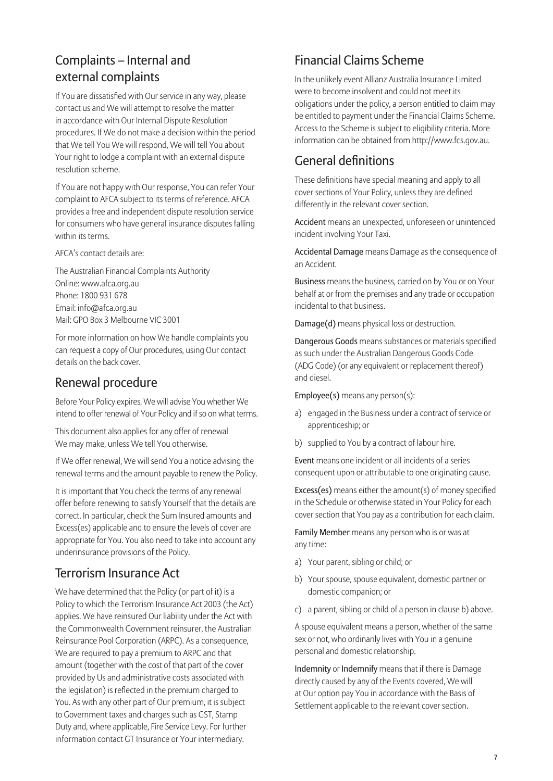# Complaints – Internal and external complaints

If You are dissatisfied with Our service in any way, please contact us and We will attempt to resolve the matter in accordance with Our Internal Dispute Resolution procedures. If We do not make a decision within the period that We tell You We will respond, We will tell You about Your right to lodge a complaint with an external dispute resolution scheme.

If You are not happy with Our response, You can refer Your complaint to AFCA subject to its terms of reference. AFCA provides a free and independent dispute resolution service for consumers who have general insurance disputes falling within its terms.

AFCA's contact details are:

The Australian Financial Complaints Authority Online: www.afca.org.au Phone: 1800 931 678 Email: info@afca.org.au Mail: GPO Box 3 Melbourne VIC 3001

For more information on how We handle complaints you can request a copy of Our procedures, using Our contact details on the back cover.

# Renewal procedure

Before Your Policy expires, We will advise You whether We intend to offer renewal of Your Policy and if so on what terms.

This document also applies for any offer of renewal We may make, unless We tell You otherwise.

If We offer renewal, We will send You a notice advising the renewal terms and the amount payable to renew the Policy.

It is important that You check the terms of any renewal offer before renewing to satisfy Yourself that the details are correct. In particular, check the Sum Insured amounts and Excess(es) applicable and to ensure the levels of cover are appropriate for You. You also need to take into account any underinsurance provisions of the Policy.

# Terrorism Insurance Act

We have determined that the Policy (or part of it) is a Policy to which the Terrorism Insurance Act 2003 (the Act) applies. We have reinsured Our liability under the Act with the Commonwealth Government reinsurer, the Australian Reinsurance Pool Corporation (ARPC). As a consequence, We are required to pay a premium to ARPC and that amount (together with the cost of that part of the cover provided by Us and administrative costs associated with the legislation) is reflected in the premium charged to You. As with any other part of Our premium, it is subject to Government taxes and charges such as GST, Stamp Duty and, where applicable, Fire Service Levy. For further information contact GT Insurance or Your intermediary.

# Financial Claims Scheme

In the unlikely event Allianz Australia Insurance Limited were to become insolvent and could not meet its obligations under the policy, a person entitled to claim may be entitled to payment under the Financial Claims Scheme. Access to the Scheme is subject to eligibility criteria. More information can be obtained from http://www.fcs.gov.au.

# General definitions

These definitions have special meaning and apply to all cover sections of Your Policy, unless they are defined differently in the relevant cover section.

Accident means an unexpected, unforeseen or unintended incident involving Your Taxi.

Accidental Damage means Damage as the consequence of an Accident.

Business means the business, carried on by You or on Your behalf at or from the premises and any trade or occupation incidental to that business.

Damage(d) means physical loss or destruction.

Dangerous Goods means substances or materials specified as such under the Australian Dangerous Goods Code (ADG Code) (or any equivalent or replacement thereof) and diesel.

Employee(s) means any person(s):

- a) engaged in the Business under a contract of service or apprenticeship; or
- b) supplied to You by a contract of labour hire.

Event means one incident or all incidents of a series consequent upon or attributable to one originating cause.

Excess(es) means either the amount(s) of money specified in the Schedule or otherwise stated in Your Policy for each cover section that You pay as a contribution for each claim.

Family Member means any person who is or was at any time:

- a) Your parent, sibling or child; or
- b) Your spouse, spouse equivalent, domestic partner or domestic companion; or
- c) a parent, sibling or child of a person in clause b) above.

A spouse equivalent means a person, whether of the same sex or not, who ordinarily lives with You in a genuine personal and domestic relationship.

Indemnity or Indemnify means that if there is Damage directly caused by any of the Events covered, We will at Our option pay You in accordance with the Basis of Settlement applicable to the relevant cover section.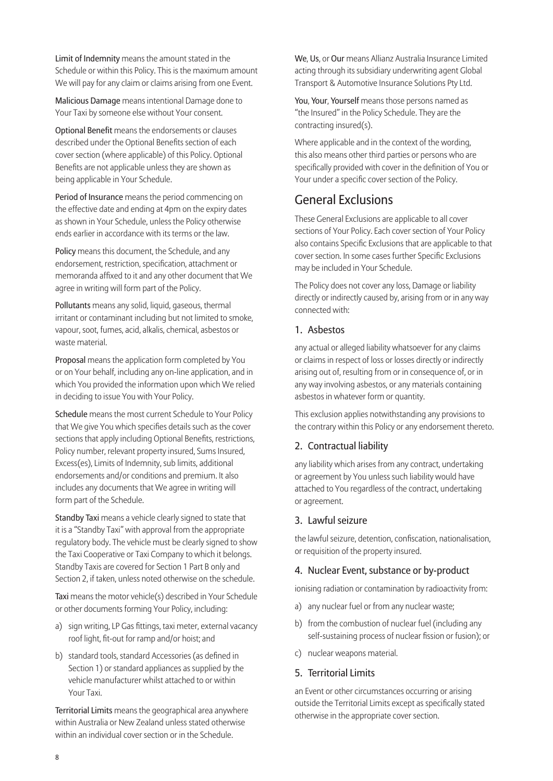Limit of Indemnity means the amount stated in the Schedule or within this Policy. This is the maximum amount We will pay for any claim or claims arising from one Event.

Malicious Damage means intentional Damage done to Your Taxi by someone else without Your consent.

Optional Benefit means the endorsements or clauses described under the Optional Benefits section of each cover section (where applicable) of this Policy. Optional Benefits are not applicable unless they are shown as being applicable in Your Schedule.

Period of Insurance means the period commencing on the effective date and ending at 4pm on the expiry dates as shown in Your Schedule, unless the Policy otherwise ends earlier in accordance with its terms or the law.

Policy means this document, the Schedule, and any endorsement, restriction, specification, attachment or memoranda affixed to it and any other document that We agree in writing will form part of the Policy.

Pollutants means any solid, liquid, gaseous, thermal irritant or contaminant including but not limited to smoke, vapour, soot, fumes, acid, alkalis, chemical, asbestos or waste material.

Proposal means the application form completed by You or on Your behalf, including any on-line application, and in which You provided the information upon which We relied in deciding to issue You with Your Policy.

Schedule means the most current Schedule to Your Policy that We give You which specifies details such as the cover sections that apply including Optional Benefits, restrictions, Policy number, relevant property insured, Sums Insured, Excess(es), Limits of Indemnity, sub limits, additional endorsements and/or conditions and premium. It also includes any documents that We agree in writing will form part of the Schedule.

Standby Taxi means a vehicle clearly signed to state that it is a "Standby Taxi" with approval from the appropriate regulatory body. The vehicle must be clearly signed to show the Taxi Cooperative or Taxi Company to which it belongs. Standby Taxis are covered for Section 1 Part B only and Section 2, if taken, unless noted otherwise on the schedule.

Taxi means the motor vehicle(s) described in Your Schedule or other documents forming Your Policy, including:

- a) sign writing, LP Gas fittings, taxi meter, external vacancy roof light, fit-out for ramp and/or hoist; and
- b) standard tools, standard Accessories (as defined in Section 1) or standard appliances as supplied by the vehicle manufacturer whilst attached to or within Your Taxi.

Territorial Limits means the geographical area anywhere within Australia or New Zealand unless stated otherwise within an individual cover section or in the Schedule.

We, Us, or Our means Allianz Australia Insurance Limited acting through its subsidiary underwriting agent Global Transport & Automotive Insurance Solutions Pty Ltd.

You, Your, Yourself means those persons named as "the Insured" in the Policy Schedule. They are the contracting insured(s).

Where applicable and in the context of the wording, this also means other third parties or persons who are specifically provided with cover in the definition of You or Your under a specific cover section of the Policy.

# General Exclusions

These General Exclusions are applicable to all cover sections of Your Policy. Each cover section of Your Policy also contains Specific Exclusions that are applicable to that cover section. In some cases further Specific Exclusions may be included in Your Schedule.

The Policy does not cover any loss, Damage or liability directly or indirectly caused by, arising from or in any way connected with:

### 1. Asbestos

any actual or alleged liability whatsoever for any claims or claims in respect of loss or losses directly or indirectly arising out of, resulting from or in consequence of, or in any way involving asbestos, or any materials containing asbestos in whatever form or quantity.

This exclusion applies notwithstanding any provisions to the contrary within this Policy or any endorsement thereto.

## 2. Contractual liability

any liability which arises from any contract, undertaking or agreement by You unless such liability would have attached to You regardless of the contract, undertaking or agreement.

#### 3. Lawful seizure

the lawful seizure, detention, confiscation, nationalisation, or requisition of the property insured.

#### 4. Nuclear Event, substance or by-product

ionising radiation or contamination by radioactivity from:

- a) any nuclear fuel or from any nuclear waste;
- b) from the combustion of nuclear fuel (including any self-sustaining process of nuclear fission or fusion); or
- c) nuclear weapons material.

#### 5. Territorial Limits

an Event or other circumstances occurring or arising outside the Territorial Limits except as specifically stated otherwise in the appropriate cover section.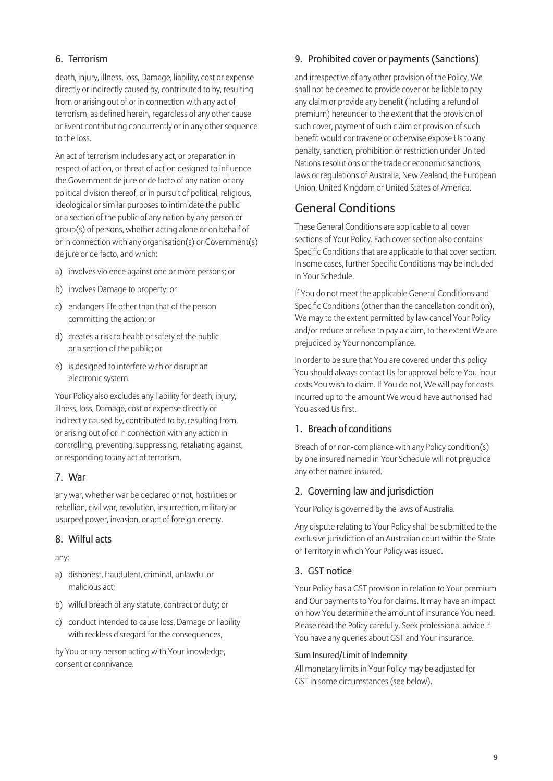# 6. Terrorism

death, injury, illness, loss, Damage, liability, cost or expense directly or indirectly caused by, contributed to by, resulting from or arising out of or in connection with any act of terrorism, as defined herein, regardless of any other cause or Event contributing concurrently or in any other sequence to the loss.

An act of terrorism includes any act, or preparation in respect of action, or threat of action designed to influence the Government de jure or de facto of any nation or any political division thereof, or in pursuit of political, religious, ideological or similar purposes to intimidate the public or a section of the public of any nation by any person or group(s) of persons, whether acting alone or on behalf of or in connection with any organisation(s) or Government(s) de jure or de facto, and which:

- a) involves violence against one or more persons; or
- b) involves Damage to property; or
- c) endangers life other than that of the person committing the action; or
- d) creates a risk to health or safety of the public or a section of the public; or
- e) is designed to interfere with or disrupt an electronic system.

Your Policy also excludes any liability for death, injury, illness, loss, Damage, cost or expense directly or indirectly caused by, contributed to by, resulting from, or arising out of or in connection with any action in controlling, preventing, suppressing, retaliating against, or responding to any act of terrorism.

#### 7. War

any war, whether war be declared or not, hostilities or rebellion, civil war, revolution, insurrection, military or usurped power, invasion, or act of foreign enemy.

#### 8. Wilful acts

#### any:

- a) dishonest, fraudulent, criminal, unlawful or malicious act;
- b) wilful breach of any statute, contract or duty; or
- c) conduct intended to cause loss, Damage or liability with reckless disregard for the consequences,

by You or any person acting with Your knowledge, consent or connivance.

# 9. Prohibited cover or payments (Sanctions)

and irrespective of any other provision of the Policy, We shall not be deemed to provide cover or be liable to pay any claim or provide any benefit (including a refund of premium) hereunder to the extent that the provision of such cover, payment of such claim or provision of such benefit would contravene or otherwise expose Us to any penalty, sanction, prohibition or restriction under United Nations resolutions or the trade or economic sanctions, laws or regulations of Australia, New Zealand, the European Union, United Kingdom or United States of America.

# General Conditions

These General Conditions are applicable to all cover sections of Your Policy. Each cover section also contains Specific Conditions that are applicable to that cover section. In some cases, further Specific Conditions may be included in Your Schedule.

If You do not meet the applicable General Conditions and Specific Conditions (other than the cancellation condition), We may to the extent permitted by law cancel Your Policy and/or reduce or refuse to pay a claim, to the extent We are prejudiced by Your noncompliance.

In order to be sure that You are covered under this policy You should always contact Us for approval before You incur costs You wish to claim. If You do not, We will pay for costs incurred up to the amount We would have authorised had You asked Us first.

## 1. Breach of conditions

Breach of or non-compliance with any Policy condition(s) by one insured named in Your Schedule will not prejudice any other named insured.

#### 2. Governing law and jurisdiction

Your Policy is governed by the laws of Australia.

Any dispute relating to Your Policy shall be submitted to the exclusive jurisdiction of an Australian court within the State or Territory in which Your Policy was issued.

## 3. GST notice

Your Policy has a GST provision in relation to Your premium and Our payments to You for claims. It may have an impact on how You determine the amount of insurance You need. Please read the Policy carefully. Seek professional advice if You have any queries about GST and Your insurance.

#### Sum Insured/Limit of Indemnity

All monetary limits in Your Policy may be adjusted for GST in some circumstances (see below).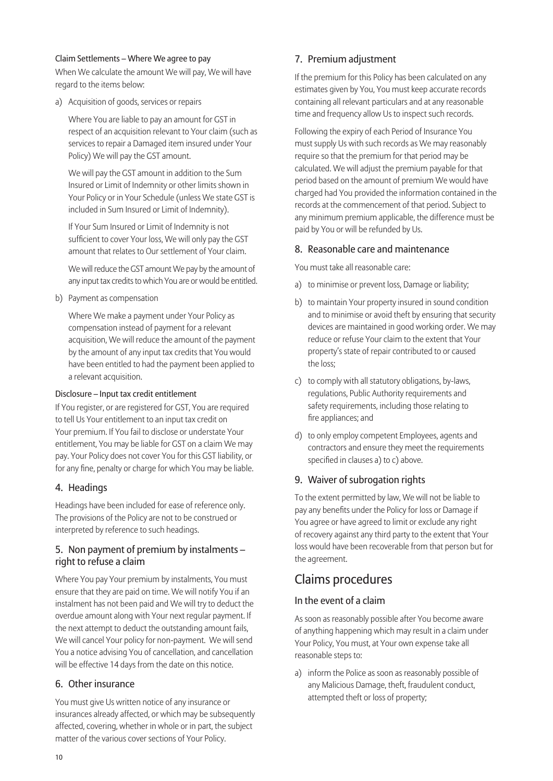#### Claim Settlements – Where We agree to pay

When We calculate the amount We will pay, We will have regard to the items below:

a) Acquisition of goods, services or repairs

 Where You are liable to pay an amount for GST in respect of an acquisition relevant to Your claim (such as services to repair a Damaged item insured under Your Policy) We will pay the GST amount.

 We will pay the GST amount in addition to the Sum Insured or Limit of Indemnity or other limits shown in Your Policy or in Your Schedule (unless We state GST is included in Sum Insured or Limit of Indemnity).

 If Your Sum Insured or Limit of Indemnity is not sufficient to cover Your loss, We will only pay the GST amount that relates to Our settlement of Your claim.

 We will reduce the GST amount We pay by the amount of any input tax credits to which You are or would be entitled.

b) Payment as compensation

 Where We make a payment under Your Policy as compensation instead of payment for a relevant acquisition, We will reduce the amount of the payment by the amount of any input tax credits that You would have been entitled to had the payment been applied to a relevant acquisition.

#### Disclosure – Input tax credit entitlement

If You register, or are registered for GST, You are required to tell Us Your entitlement to an input tax credit on Your premium. If You fail to disclose or understate Your entitlement, You may be liable for GST on a claim We may pay. Your Policy does not cover You for this GST liability, or for any fine, penalty or charge for which You may be liable.

#### 4. Headings

Headings have been included for ease of reference only. The provisions of the Policy are not to be construed or interpreted by reference to such headings.

### 5. Non payment of premium by instalments – right to refuse a claim

Where You pay Your premium by instalments, You must ensure that they are paid on time. We will notify You if an instalment has not been paid and We will try to deduct the overdue amount along with Your next regular payment. If the next attempt to deduct the outstanding amount fails, We will cancel Your policy for non-payment. We will send You a notice advising You of cancellation, and cancellation will be effective 14 days from the date on this notice.

#### 6. Other insurance

You must give Us written notice of any insurance or insurances already affected, or which may be subsequently affected, covering, whether in whole or in part, the subject matter of the various cover sections of Your Policy.

## 7. Premium adjustment

If the premium for this Policy has been calculated on any estimates given by You, You must keep accurate records containing all relevant particulars and at any reasonable time and frequency allow Us to inspect such records.

Following the expiry of each Period of Insurance You must supply Us with such records as We may reasonably require so that the premium for that period may be calculated. We will adjust the premium payable for that period based on the amount of premium We would have charged had You provided the information contained in the records at the commencement of that period. Subject to any minimum premium applicable, the difference must be paid by You or will be refunded by Us.

#### 8. Reasonable care and maintenance

You must take all reasonable care:

- a) to minimise or prevent loss, Damage or liability;
- b) to maintain Your property insured in sound condition and to minimise or avoid theft by ensuring that security devices are maintained in good working order. We may reduce or refuse Your claim to the extent that Your property's state of repair contributed to or caused the loss;
- c) to comply with all statutory obligations, by-laws, regulations, Public Authority requirements and safety requirements, including those relating to fire appliances; and
- d) to only employ competent Employees, agents and contractors and ensure they meet the requirements specified in clauses a) to c) above.

#### 9. Waiver of subrogation rights

To the extent permitted by law, We will not be liable to pay any benefits under the Policy for loss or Damage if You agree or have agreed to limit or exclude any right of recovery against any third party to the extent that Your loss would have been recoverable from that person but for the agreement.

# Claims procedures

#### In the event of a claim

As soon as reasonably possible after You become aware of anything happening which may result in a claim under Your Policy, You must, at Your own expense take all reasonable steps to:

a) inform the Police as soon as reasonably possible of any Malicious Damage, theft, fraudulent conduct, attempted theft or loss of property;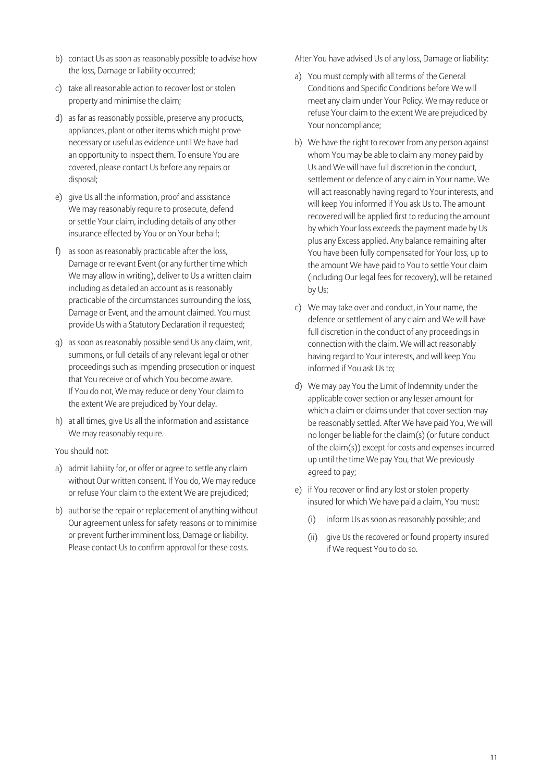- b) contact Us as soon as reasonably possible to advise how the loss, Damage or liability occurred;
- c) take all reasonable action to recover lost or stolen property and minimise the claim;
- d) as far as reasonably possible, preserve any products, appliances, plant or other items which might prove necessary or useful as evidence until We have had an opportunity to inspect them. To ensure You are covered, please contact Us before any repairs or disposal;
- e) give Us all the information, proof and assistance We may reasonably require to prosecute, defend or settle Your claim, including details of any other insurance effected by You or on Your behalf;
- f) as soon as reasonably practicable after the loss, Damage or relevant Event (or any further time which We may allow in writing), deliver to Us a written claim including as detailed an account as is reasonably practicable of the circumstances surrounding the loss, Damage or Event, and the amount claimed. You must provide Us with a Statutory Declaration if requested;
- g) as soon as reasonably possible send Us any claim, writ, summons, or full details of any relevant legal or other proceedings such as impending prosecution or inquest that You receive or of which You become aware. If You do not, We may reduce or deny Your claim to the extent We are prejudiced by Your delay.
- h) at all times, give Us all the information and assistance We may reasonably require.

#### You should not:

- a) admit liability for, or offer or agree to settle any claim without Our written consent. If You do, We may reduce or refuse Your claim to the extent We are prejudiced;
- b) authorise the repair or replacement of anything without Our agreement unless for safety reasons or to minimise or prevent further imminent loss, Damage or liability. Please contact Us to confirm approval for these costs.

After You have advised Us of any loss, Damage or liability:

- a) You must comply with all terms of the General Conditions and Specific Conditions before We will meet any claim under Your Policy. We may reduce or refuse Your claim to the extent We are prejudiced by Your noncompliance;
- b) We have the right to recover from any person against whom You may be able to claim any money paid by Us and We will have full discretion in the conduct, settlement or defence of any claim in Your name. We will act reasonably having regard to Your interests, and will keep You informed if You ask Us to. The amount recovered will be applied first to reducing the amount by which Your loss exceeds the payment made by Us plus any Excess applied. Any balance remaining after You have been fully compensated for Your loss, up to the amount We have paid to You to settle Your claim (including Our legal fees for recovery), will be retained by Us;
- c) We may take over and conduct, in Your name, the defence or settlement of any claim and We will have full discretion in the conduct of any proceedings in connection with the claim. We will act reasonably having regard to Your interests, and will keep You informed if You ask Us to;
- d) We may pay You the Limit of Indemnity under the applicable cover section or any lesser amount for which a claim or claims under that cover section may be reasonably settled. After We have paid You, We will no longer be liable for the claim(s) (or future conduct of the claim(s)) except for costs and expenses incurred up until the time We pay You, that We previously agreed to pay;
- e) if You recover or find any lost or stolen property insured for which We have paid a claim, You must:
	- (i) inform Us as soon as reasonably possible; and
	- (ii) give Us the recovered or found property insured if We request You to do so.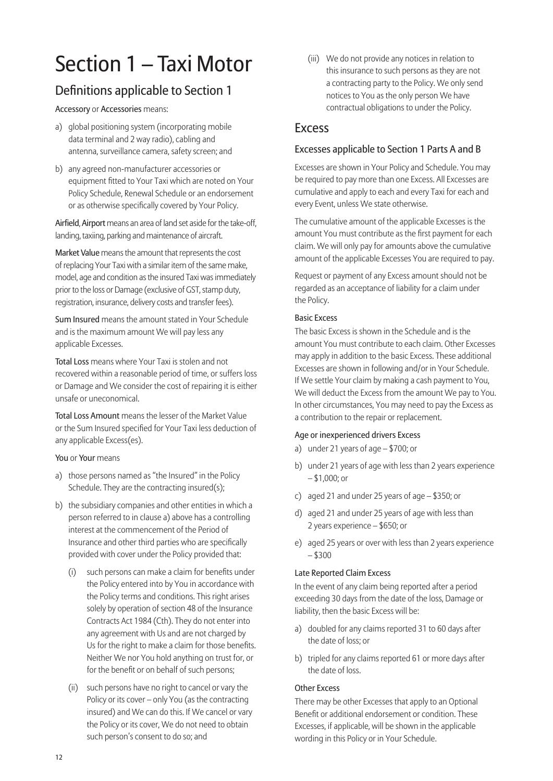# Section 1 – Taxi Motor

# Definitions applicable to Section 1

Accessory or Accessories means:

- a) global positioning system (incorporating mobile data terminal and 2 way radio), cabling and antenna, surveillance camera, safety screen; and
- b) any agreed non-manufacturer accessories or equipment fitted to Your Taxi which are noted on Your Policy Schedule, Renewal Schedule or an endorsement or as otherwise specifically covered by Your Policy.

Airfield, Airport means an area of land set aside for the take-off, landing, taxiing, parking and maintenance of aircraft.

Market Value means the amount that represents the cost of replacing Your Taxi with a similar item of the same make, model, age and condition as the insured Taxi was immediately prior to the loss or Damage (exclusive of GST, stamp duty, registration, insurance, delivery costs and transfer fees).

Sum Insured means the amount stated in Your Schedule and is the maximum amount We will pay less any applicable Excesses.

Total Loss means where Your Taxi is stolen and not recovered within a reasonable period of time, or suffers loss or Damage and We consider the cost of repairing it is either unsafe or uneconomical.

Total Loss Amount means the lesser of the Market Value or the Sum Insured specified for Your Taxi less deduction of any applicable Excess(es).

You or Your means

- a) those persons named as "the Insured" in the Policy Schedule. They are the contracting insured(s);
- b) the subsidiary companies and other entities in which a person referred to in clause a) above has a controlling interest at the commencement of the Period of Insurance and other third parties who are specifically provided with cover under the Policy provided that:
	- (i) such persons can make a claim for benefits under the Policy entered into by You in accordance with the Policy terms and conditions. This right arises solely by operation of section 48 of the Insurance Contracts Act 1984 (Cth). They do not enter into any agreement with Us and are not charged by Us for the right to make a claim for those benefits. Neither We nor You hold anything on trust for, or for the benefit or on behalf of such persons;
	- (ii) such persons have no right to cancel or vary the Policy or its cover – only You (as the contracting insured) and We can do this. If We cancel or vary the Policy or its cover, We do not need to obtain such person's consent to do so; and

(iii) We do not provide any notices in relation to this insurance to such persons as they are not a contracting party to the Policy. We only send notices to You as the only person We have contractual obligations to under the Policy.

# Excess

### Excesses applicable to Section 1 Parts A and B

Excesses are shown in Your Policy and Schedule. You may be required to pay more than one Excess. All Excesses are cumulative and apply to each and every Taxi for each and every Event, unless We state otherwise.

The cumulative amount of the applicable Excesses is the amount You must contribute as the first payment for each claim. We will only pay for amounts above the cumulative amount of the applicable Excesses You are required to pay.

Request or payment of any Excess amount should not be regarded as an acceptance of liability for a claim under the Policy.

#### Basic Excess

The basic Excess is shown in the Schedule and is the amount You must contribute to each claim. Other Excesses may apply in addition to the basic Excess. These additional Excesses are shown in following and/or in Your Schedule. If We settle Your claim by making a cash payment to You, We will deduct the Excess from the amount We pay to You. In other circumstances, You may need to pay the Excess as a contribution to the repair or replacement.

#### Age or inexperienced drivers Excess

- a) under 21 years of age \$700; or
- b) under 21 years of age with less than 2 years experience – \$1,000; or
- c) aged 21 and under 25 years of age \$350; or
- d) aged 21 and under 25 years of age with less than 2 years experience – \$650; or
- e) aged 25 years or over with less than 2 years experience – \$300

#### Late Reported Claim Excess

In the event of any claim being reported after a period exceeding 30 days from the date of the loss, Damage or liability, then the basic Excess will be:

- a) doubled for any claims reported 31 to 60 days after the date of loss; or
- b) tripled for any claims reported 61 or more days after the date of loss.

#### Other Excess

There may be other Excesses that apply to an Optional Benefit or additional endorsement or condition. These Excesses, if applicable, will be shown in the applicable wording in this Policy or in Your Schedule.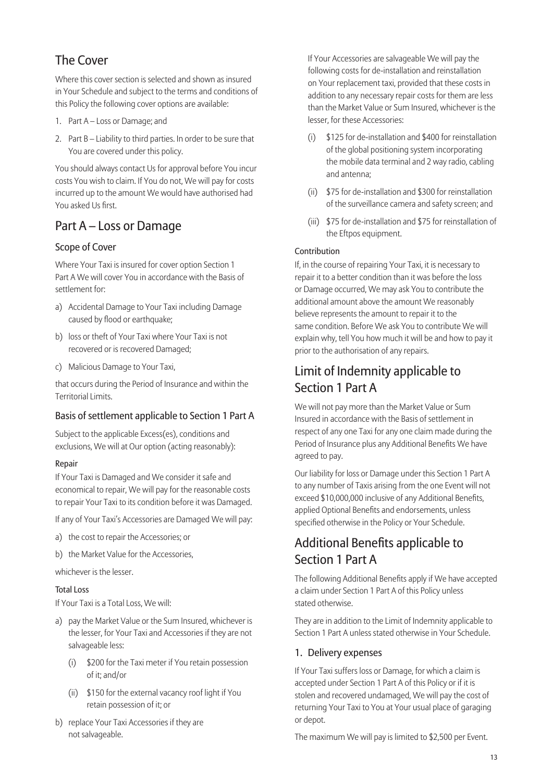# The Cover

Where this cover section is selected and shown as insured in Your Schedule and subject to the terms and conditions of this Policy the following cover options are available:

- 1. Part A Loss or Damage; and
- 2. Part B Liability to third parties. In order to be sure that You are covered under this policy.

You should always contact Us for approval before You incur costs You wish to claim. If You do not, We will pay for costs incurred up to the amount We would have authorised had You asked Us first.

# Part A – Loss or Damage

# Scope of Cover

Where Your Taxi is insured for cover option Section 1 Part A We will cover You in accordance with the Basis of settlement for:

- a) Accidental Damage to Your Taxi including Damage caused by flood or earthquake;
- b) loss or theft of Your Taxi where Your Taxi is not recovered or is recovered Damaged;
- c) Malicious Damage to Your Taxi,

that occurs during the Period of Insurance and within the Territorial Limits.

## Basis of settlement applicable to Section 1 Part A

Subject to the applicable Excess(es), conditions and exclusions, We will at Our option (acting reasonably):

#### Repair

If Your Taxi is Damaged and We consider it safe and economical to repair, We will pay for the reasonable costs to repair Your Taxi to its condition before it was Damaged.

If any of Your Taxi's Accessories are Damaged We will pay:

- a) the cost to repair the Accessories; or
- b) the Market Value for the Accessories,

whichever is the lesser.

#### Total Loss

If Your Taxi is a Total Loss, We will:

- a) pay the Market Value or the Sum Insured, whichever is the lesser, for Your Taxi and Accessories if they are not salvageable less:
	- (i) \$200 for the Taxi meter if You retain possession of it; and/or
	- (ii) \$150 for the external vacancy roof light if You retain possession of it; or
- b) replace Your Taxi Accessories if they are not salvageable.

 If Your Accessories are salvageable We will pay the following costs for de-installation and reinstallation on Your replacement taxi, provided that these costs in addition to any necessary repair costs for them are less than the Market Value or Sum Insured, whichever is the lesser, for these Accessories:

- (i) \$125 for de-installation and \$400 for reinstallation of the global positioning system incorporating the mobile data terminal and 2 way radio, cabling and antenna;
- (ii) \$75 for de-installation and \$300 for reinstallation of the surveillance camera and safety screen; and
- (iii) \$75 for de-installation and \$75 for reinstallation of the Eftpos equipment.

### Contribution

If, in the course of repairing Your Taxi, it is necessary to repair it to a better condition than it was before the loss or Damage occurred, We may ask You to contribute the additional amount above the amount We reasonably believe represents the amount to repair it to the same condition. Before We ask You to contribute We will explain why, tell You how much it will be and how to pay it prior to the authorisation of any repairs.

# Limit of Indemnity applicable to Section 1 Part A

We will not pay more than the Market Value or Sum Insured in accordance with the Basis of settlement in respect of any one Taxi for any one claim made during the Period of Insurance plus any Additional Benefits We have agreed to pay.

Our liability for loss or Damage under this Section 1 Part A to any number of Taxis arising from the one Event will not exceed \$10,000,000 inclusive of any Additional Benefits, applied Optional Benefits and endorsements, unless specified otherwise in the Policy or Your Schedule.

# Additional Benefits applicable to Section 1 Part A

The following Additional Benefits apply if We have accepted a claim under Section 1 Part A of this Policy unless stated otherwise.

They are in addition to the Limit of Indemnity applicable to Section 1 Part A unless stated otherwise in Your Schedule.

## 1. Delivery expenses

If Your Taxi suffers loss or Damage, for which a claim is accepted under Section 1 Part A of this Policy or if it is stolen and recovered undamaged, We will pay the cost of returning Your Taxi to You at Your usual place of garaging or depot.

The maximum We will pay is limited to \$2,500 per Event.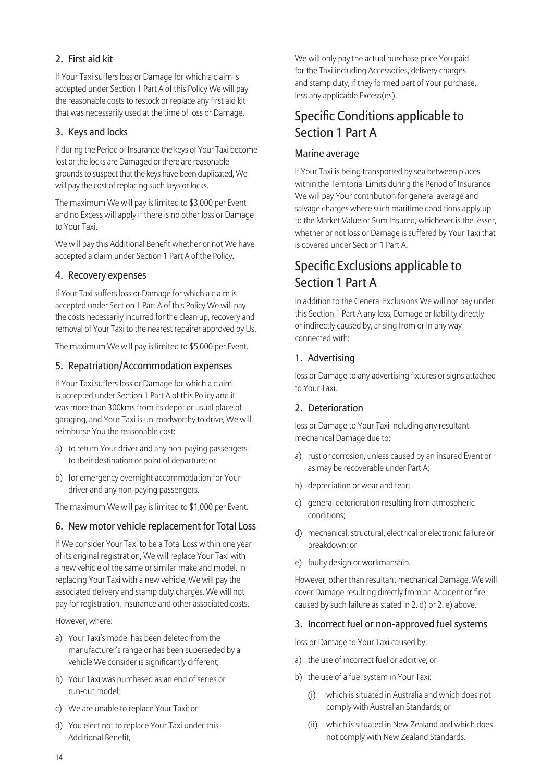# 2. First aid kit

If Your Taxi suffers loss or Damage for which a claim is accepted under Section 1 Part A of this Policy We will pay the reasonable costs to restock or replace any first aid kit that was necessarily used at the time of loss or Damage.

### 3. Keys and locks

If during the Period of Insurance the keys of Your Taxi become lost or the locks are Damaged or there are reasonable grounds to suspect that the keys have been duplicated, We will pay the cost of replacing such keys or locks.

The maximum We will pay is limited to \$3,000 per Event and no Excess will apply if there is no other loss or Damage to Your Taxi.

We will pay this Additional Benefit whether or not We have accepted a claim under Section 1 Part A of the Policy.

#### 4. Recovery expenses

If Your Taxi suffers loss or Damage for which a claim is accepted under Section 1 Part A of this Policy We will pay the costs necessarily incurred for the clean up, recovery and removal of Your Taxi to the nearest repairer approved by Us.

The maximum We will pay is limited to \$5,000 per Event.

#### 5. Repatriation/Accommodation expenses

If Your Taxi suffers loss or Damage for which a claim is accepted under Section 1 Part A of this Policy and it was more than 300kms from its depot or usual place of garaging, and Your Taxi is un-roadworthy to drive, We will reimburse You the reasonable cost:

- a) to return Your driver and any non-paying passengers to their destination or point of departure; or
- b) for emergency overnight accommodation for Your driver and any non-paying passengers.

The maximum We will pay is limited to \$1,000 per Event.

#### 6. New motor vehicle replacement for Total Loss

If We consider Your Taxi to be a Total Loss within one year of its original registration, We will replace Your Taxi with a new vehicle of the same or similar make and model. In replacing Your Taxi with a new vehicle, We will pay the associated delivery and stamp duty charges. We will not pay for registration, insurance and other associated costs.

However, where:

- a) Your Taxi's model has been deleted from the manufacturer's range or has been superseded by a vehicle We consider is significantly different;
- b) Your Taxi was purchased as an end of series or run-out model;
- c) We are unable to replace Your Taxi; or
- d) You elect not to replace Your Taxi under this Additional Benefit

We will only pay the actual purchase price You paid for the Taxi including Accessories, delivery charges and stamp duty, if they formed part of Your purchase, less any applicable Excess(es).

# Specific Conditions applicable to Section 1 Part A

### Marine average

If Your Taxi is being transported by sea between places within the Territorial Limits during the Period of Insurance We will pay Your contribution for general average and salvage charges where such maritime conditions apply up to the Market Value or Sum Insured, whichever is the lesser, whether or not loss or Damage is suffered by Your Taxi that is covered under Section 1 Part A.

# Specific Exclusions applicable to Section 1 Part A

In addition to the General Exclusions We will not pay under this Section 1 Part A any loss, Damage or liability directly or indirectly caused by, arising from or in any way connected with:

## 1. Advertising

loss or Damage to any advertising fixtures or signs attached to Your Taxi.

#### 2. Deterioration

loss or Damage to Your Taxi including any resultant mechanical Damage due to:

- a) rust or corrosion, unless caused by an insured Event or as may be recoverable under Part A;
- b) depreciation or wear and tear;
- c) general deterioration resulting from atmospheric conditions;
- d) mechanical, structural, electrical or electronic failure or breakdown; or
- e) faulty design or workmanship.

However, other than resultant mechanical Damage, We will cover Damage resulting directly from an Accident or fire caused by such failure as stated in 2. d) or 2. e) above.

#### 3. Incorrect fuel or non-approved fuel systems

loss or Damage to Your Taxi caused by:

- a) the use of incorrect fuel or additive; or
- b) the use of a fuel system in Your Taxi:
	- (i) which is situated in Australia and which does not comply with Australian Standards; or
	- (ii) which is situated in New Zealand and which does not comply with New Zealand Standards.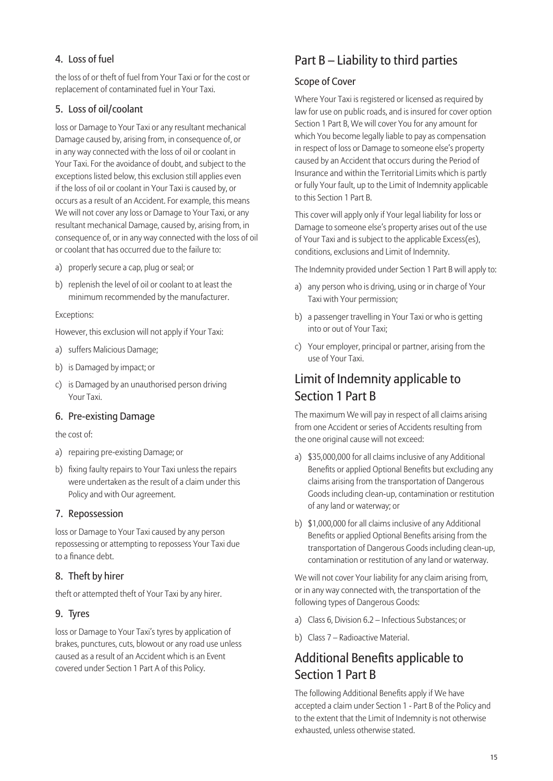# 4. Loss of fuel

the loss of or theft of fuel from Your Taxi or for the cost or replacement of contaminated fuel in Your Taxi.

### 5. Loss of oil/coolant

loss or Damage to Your Taxi or any resultant mechanical Damage caused by, arising from, in consequence of, or in any way connected with the loss of oil or coolant in Your Taxi. For the avoidance of doubt, and subject to the exceptions listed below, this exclusion still applies even if the loss of oil or coolant in Your Taxi is caused by, or occurs as a result of an Accident. For example, this means We will not cover any loss or Damage to Your Taxi, or any resultant mechanical Damage, caused by, arising from, in consequence of, or in any way connected with the loss of oil or coolant that has occurred due to the failure to:

- a) properly secure a cap, plug or seal; or
- b) replenish the level of oil or coolant to at least the minimum recommended by the manufacturer.

#### Exceptions:

However, this exclusion will not apply if Your Taxi:

- a) suffers Malicious Damage;
- b) is Damaged by impact; or
- c) is Damaged by an unauthorised person driving Your Taxi.

#### 6. Pre-existing Damage

#### the cost of:

- a) repairing pre-existing Damage; or
- b) fixing faulty repairs to Your Taxi unless the repairs were undertaken as the result of a claim under this Policy and with Our agreement.

#### 7. Repossession

loss or Damage to Your Taxi caused by any person repossessing or attempting to repossess Your Taxi due to a finance debt

#### 8. Theft by hirer

theft or attempted theft of Your Taxi by any hirer.

#### 9. Tyres

loss or Damage to Your Taxi's tyres by application of brakes, punctures, cuts, blowout or any road use unless caused as a result of an Accident which is an Event covered under Section 1 Part A of this Policy.

# Part B – Liability to third parties

#### Scope of Cover

Where Your Taxi is registered or licensed as required by law for use on public roads, and is insured for cover option Section 1 Part B, We will cover You for any amount for which You become legally liable to pay as compensation in respect of loss or Damage to someone else's property caused by an Accident that occurs during the Period of Insurance and within the Territorial Limits which is partly or fully Your fault, up to the Limit of Indemnity applicable to this Section 1 Part B.

This cover will apply only if Your legal liability for loss or Damage to someone else's property arises out of the use of Your Taxi and is subject to the applicable Excess(es), conditions, exclusions and Limit of Indemnity.

The Indemnity provided under Section 1 Part B will apply to:

- a) any person who is driving, using or in charge of Your Taxi with Your permission;
- b) a passenger travelling in Your Taxi or who is getting into or out of Your Taxi;
- c) Your employer, principal or partner, arising from the use of Your Taxi.

# Limit of Indemnity applicable to Section 1 Part B

The maximum We will pay in respect of all claims arising from one Accident or series of Accidents resulting from the one original cause will not exceed:

- a) \$35,000,000 for all claims inclusive of any Additional Benefits or applied Optional Benefits but excluding any claims arising from the transportation of Dangerous Goods including clean-up, contamination or restitution of any land or waterway; or
- b) \$1,000,000 for all claims inclusive of any Additional Benefits or applied Optional Benefits arising from the transportation of Dangerous Goods including clean-up, contamination or restitution of any land or waterway.

We will not cover Your liability for any claim arising from, or in any way connected with, the transportation of the following types of Dangerous Goods:

- a) Class 6, Division 6.2 Infectious Substances; or
- b) Class 7 Radioactive Material.

# Additional Benefits applicable to Section 1 Part B

The following Additional Benefits apply if We have accepted a claim under Section 1 - Part B of the Policy and to the extent that the Limit of Indemnity is not otherwise exhausted, unless otherwise stated.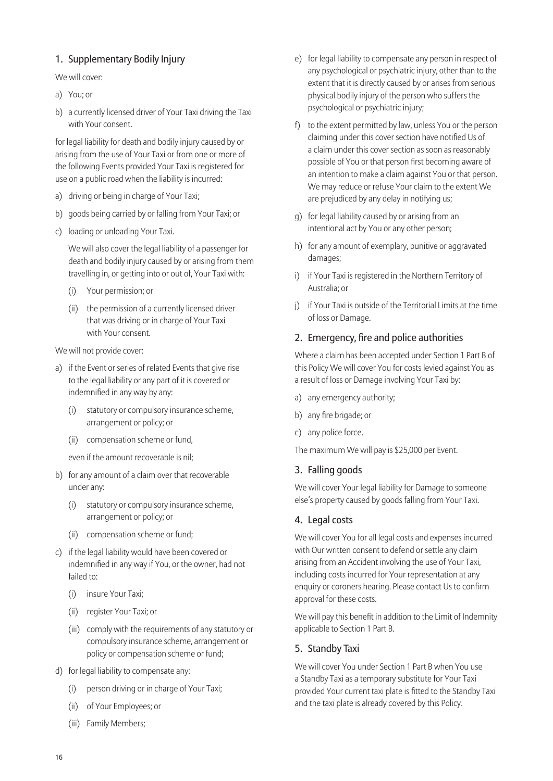# 1. Supplementary Bodily Injury

We will cover:

- a) You; or
- b) a currently licensed driver of Your Taxi driving the Taxi with Your consent.

for legal liability for death and bodily injury caused by or arising from the use of Your Taxi or from one or more of the following Events provided Your Taxi is registered for use on a public road when the liability is incurred:

- a) driving or being in charge of Your Taxi;
- b) goods being carried by or falling from Your Taxi; or
- c) loading or unloading Your Taxi.

 We will also cover the legal liability of a passenger for death and bodily injury caused by or arising from them travelling in, or getting into or out of, Your Taxi with:

- (i) Your permission; or
- (ii) the permission of a currently licensed driver that was driving or in charge of Your Taxi with Your consent.

We will not provide cover:

- a) if the Event or series of related Events that give rise to the legal liability or any part of it is covered or indemnified in any way by any:
	- (i) statutory or compulsory insurance scheme, arrangement or policy; or
	- (ii) compensation scheme or fund,
	- even if the amount recoverable is nil;
- b) for any amount of a claim over that recoverable under any:
	- (i) statutory or compulsory insurance scheme, arrangement or policy; or
	- (ii) compensation scheme or fund;
- c) if the legal liability would have been covered or indemnified in any way if You, or the owner, had not failed to:
	- (i) insure Your Taxi;
	- (ii) register Your Taxi; or
	- (iii) comply with the requirements of any statutory or compulsory insurance scheme, arrangement or policy or compensation scheme or fund;
- d) for legal liability to compensate any:
	- (i) person driving or in charge of Your Taxi;
	- (ii) of Your Employees; or
	- (iii) Family Members;
- e) for legal liability to compensate any person in respect of any psychological or psychiatric injury, other than to the extent that it is directly caused by or arises from serious physical bodily injury of the person who suffers the psychological or psychiatric injury;
- f) to the extent permitted by law, unless You or the person claiming under this cover section have notified Us of a claim under this cover section as soon as reasonably possible of You or that person first becoming aware of an intention to make a claim against You or that person. We may reduce or refuse Your claim to the extent We are prejudiced by any delay in notifying us;
- g) for legal liability caused by or arising from an intentional act by You or any other person;
- h) for any amount of exemplary, punitive or aggravated damages;
- i) if Your Taxi is registered in the Northern Territory of Australia; or
- j) if Your Taxi is outside of the Territorial Limits at the time of loss or Damage.

### 2. Emergency, fire and police authorities

Where a claim has been accepted under Section 1 Part B of this Policy We will cover You for costs levied against You as a result of loss or Damage involving Your Taxi by:

- a) any emergency authority;
- b) any fire brigade: or
- c) any police force.

The maximum We will pay is \$25,000 per Event.

## 3. Falling goods

We will cover Your legal liability for Damage to someone else's property caused by goods falling from Your Taxi.

#### 4. Legal costs

We will cover You for all legal costs and expenses incurred with Our written consent to defend or settle any claim arising from an Accident involving the use of Your Taxi, including costs incurred for Your representation at any enquiry or coroners hearing. Please contact Us to confirm approval for these costs.

We will pay this benefit in addition to the Limit of Indemnity applicable to Section 1 Part B.

## 5. Standby Taxi

We will cover You under Section 1 Part B when You use a Standby Taxi as a temporary substitute for Your Taxi provided Your current taxi plate is fitted to the Standby Taxi and the taxi plate is already covered by this Policy.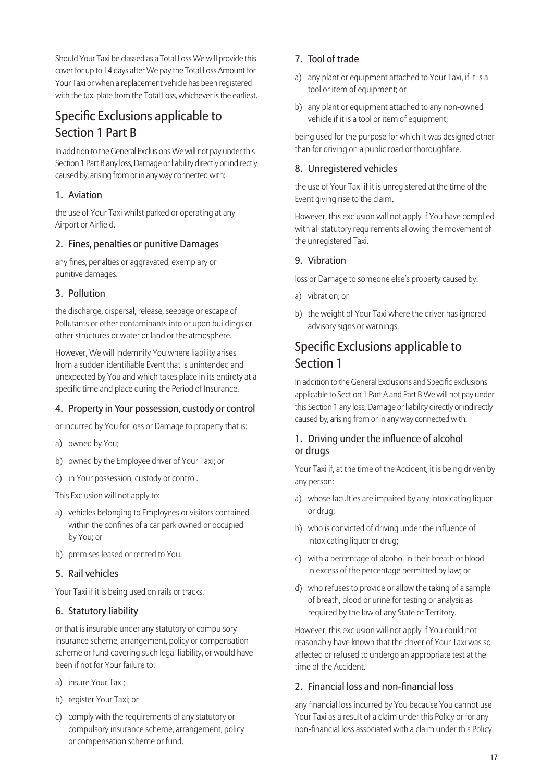Should Your Taxi be classed as a Total Loss We will provide this cover for up to 14 days after We pay the Total Loss Amount for Your Taxi or when a replacement vehicle has been registered with the taxi plate from the Total Loss, whichever is the earliest.

# Specific Exclusions applicable to Section 1 Part B

In addition to the General Exclusions We will not pay under this Section 1 Part B any loss, Damage or liability directly or indirectly caused by, arising from or in any way connected with:

### 1. Aviation

the use of Your Taxi whilst parked or operating at any Airport or Airfield.

### 2. Fines, penalties or punitive Damages

any fines, penalties or aggravated, exemplary or punitive damages.

### 3. Pollution

the discharge, dispersal, release, seepage or escape of Pollutants or other contaminants into or upon buildings or other structures or water or land or the atmosphere.

However, We will Indemnify You where liability arises from a sudden identifiable Event that is unintended and unexpected by You and which takes place in its entirety at a specific time and place during the Period of Insurance.

## 4. Property in Your possession, custody or control

or incurred by You for loss or Damage to property that is:

- a) owned by You;
- b) owned by the Employee driver of Your Taxi; or
- c) in Your possession, custody or control.

This Exclusion will not apply to:

- a) vehicles belonging to Employees or visitors contained within the confines of a car park owned or occupied by You; or
- b) premises leased or rented to You.

## 5. Rail vehicles

Your Taxi if it is being used on rails or tracks.

## 6. Statutory liability

or that is insurable under any statutory or compulsory insurance scheme, arrangement, policy or compensation scheme or fund covering such legal liability, or would have been if not for Your failure to:

- a) insure Your Taxi;
- b) register Your Taxi; or
- c) comply with the requirements of any statutory or compulsory insurance scheme, arrangement, policy or compensation scheme or fund.

# 7. Tool of trade

- a) any plant or equipment attached to Your Taxi, if it is a tool or item of equipment; or
- b) any plant or equipment attached to any non-owned vehicle if it is a tool or item of equipment;

being used for the purpose for which it was designed other than for driving on a public road or thoroughfare.

# 8. Unregistered vehicles

the use of Your Taxi if it is unregistered at the time of the Event giving rise to the claim.

However, this exclusion will not apply if You have complied with all statutory requirements allowing the movement of the unregistered Taxi.

### 9. Vibration

loss or Damage to someone else's property caused by:

- a) vibration; or
- b) the weight of Your Taxi where the driver has ignored advisory signs or warnings.

# Specific Exclusions applicable to Section 1

In addition to the General Exclusions and Specific exclusions applicable to Section 1 Part A and Part B We will not pay under this Section 1 any loss, Damage or liability directly or indirectly caused by, arising from or in any way connected with:

### 1. Driving under the influence of alcohol or drugs

Your Taxi if, at the time of the Accident, it is being driven by any person:

- a) whose faculties are impaired by any intoxicating liquor or drug;
- b) who is convicted of driving under the influence of intoxicating liquor or drug;
- c) with a percentage of alcohol in their breath or blood in excess of the percentage permitted by law; or
- d) who refuses to provide or allow the taking of a sample of breath, blood or urine for testing or analysis as required by the law of any State or Territory.

However, this exclusion will not apply if You could not reasonably have known that the driver of Your Taxi was so affected or refused to undergo an appropriate test at the time of the Accident.

## 2. Financial loss and non-financial loss

any financial loss incurred by You because You cannot use Your Taxi as a result of a claim under this Policy or for any non-financial loss associated with a claim under this Policy.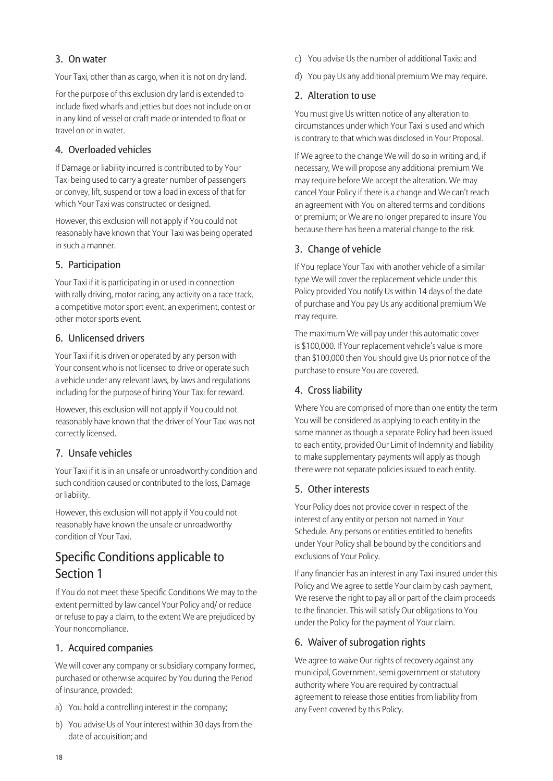### 3. On water

Your Taxi, other than as cargo, when it is not on dry land.

For the purpose of this exclusion dry land is extended to include fixed wharfs and jetties but does not include on or in any kind of vessel or craft made or intended to float or travel on or in water.

#### 4. Overloaded vehicles

If Damage or liability incurred is contributed to by Your Taxi being used to carry a greater number of passengers or convey, lift, suspend or tow a load in excess of that for which Your Taxi was constructed or designed.

However, this exclusion will not apply if You could not reasonably have known that Your Taxi was being operated in such a manner.

#### 5. Participation

Your Taxi if it is participating in or used in connection with rally driving, motor racing, any activity on a race track, a competitive motor sport event, an experiment, contest or other motor sports event.

#### 6. Unlicensed drivers

Your Taxi if it is driven or operated by any person with Your consent who is not licensed to drive or operate such a vehicle under any relevant laws, by laws and regulations including for the purpose of hiring Your Taxi for reward.

However, this exclusion will not apply if You could not reasonably have known that the driver of Your Taxi was not correctly licensed.

#### 7. Unsafe vehicles

Your Taxi if it is in an unsafe or unroadworthy condition and such condition caused or contributed to the loss, Damage or liability.

However, this exclusion will not apply if You could not reasonably have known the unsafe or unroadworthy condition of Your Taxi.

# Specific Conditions applicable to Section 1

If You do not meet these Specific Conditions We may to the extent permitted by law cancel Your Policy and/ or reduce or refuse to pay a claim, to the extent We are prejudiced by Your noncompliance.

#### 1. Acquired companies

We will cover any company or subsidiary company formed, purchased or otherwise acquired by You during the Period of Insurance, provided:

- a) You hold a controlling interest in the company;
- b) You advise Us of Your interest within 30 days from the date of acquisition; and
- c) You advise Us the number of additional Taxis; and
- d) You pay Us any additional premium We may require.

#### 2. Alteration to use

You must give Us written notice of any alteration to circumstances under which Your Taxi is used and which is contrary to that which was disclosed in Your Proposal.

If We agree to the change We will do so in writing and, if necessary, We will propose any additional premium We may require before We accept the alteration. We may cancel Your Policy if there is a change and We can't reach an agreement with You on altered terms and conditions or premium; or We are no longer prepared to insure You because there has been a material change to the risk.

#### 3. Change of vehicle

If You replace Your Taxi with another vehicle of a similar type We will cover the replacement vehicle under this Policy provided You notify Us within 14 days of the date of purchase and You pay Us any additional premium We may require.

The maximum We will pay under this automatic cover is \$100,000. If Your replacement vehicle's value is more than \$100,000 then You should give Us prior notice of the purchase to ensure You are covered.

### 4. Cross liability

Where You are comprised of more than one entity the term You will be considered as applying to each entity in the same manner as though a separate Policy had been issued to each entity, provided Our Limit of Indemnity and liability to make supplementary payments will apply as though there were not separate policies issued to each entity.

#### 5. Other interests

Your Policy does not provide cover in respect of the interest of any entity or person not named in Your Schedule. Any persons or entities entitled to benefits under Your Policy shall be bound by the conditions and exclusions of Your Policy.

If any financier has an interest in any Taxi insured under this Policy and We agree to settle Your claim by cash payment, We reserve the right to pay all or part of the claim proceeds to the financier. This will satisfy Our obligations to You under the Policy for the payment of Your claim.

#### 6. Waiver of subrogation rights

We agree to waive Our rights of recovery against any municipal, Government, semi government or statutory authority where You are required by contractual agreement to release those entities from liability from any Event covered by this Policy.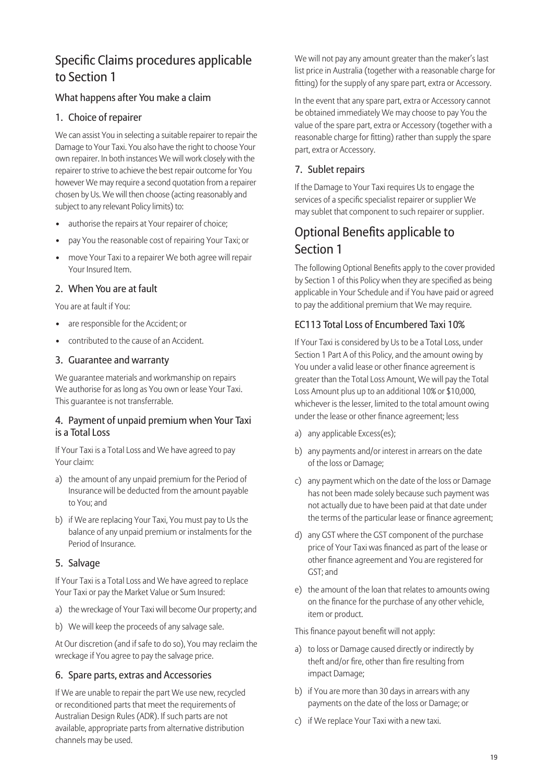# Specific Claims procedures applicable to Section 1

## What happens after You make a claim

#### 1. Choice of repairer

We can assist You in selecting a suitable repairer to repair the Damage to Your Taxi. You also have the right to choose Your own repairer. In both instances We will work closely with the repairer to strive to achieve the best repair outcome for You however We may require a second quotation from a repairer chosen by Us. We will then choose (acting reasonably and subject to any relevant Policy limits) to:

- authorise the repairs at Your repairer of choice;
- pay You the reasonable cost of repairing Your Taxi; or
- move Your Taxi to a repairer We both agree will repair Your Insured Item.

#### 2. When You are at fault

You are at fault if You:

- are responsible for the Accident; or
- contributed to the cause of an Accident.

#### 3. Guarantee and warranty

We guarantee materials and workmanship on repairs We authorise for as long as You own or lease Your Taxi. This guarantee is not transferrable.

#### 4. Payment of unpaid premium when Your Taxi is a Total Loss

If Your Taxi is a Total Loss and We have agreed to pay Your claim:

- a) the amount of any unpaid premium for the Period of Insurance will be deducted from the amount payable to You; and
- b) if We are replacing Your Taxi, You must pay to Us the balance of any unpaid premium or instalments for the Period of Insurance.

#### 5. Salvage

If Your Taxi is a Total Loss and We have agreed to replace Your Taxi or pay the Market Value or Sum Insured:

- a) the wreckage of Your Taxi will become Our property; and
- b) We will keep the proceeds of any salvage sale.

At Our discretion (and if safe to do so), You may reclaim the wreckage if You agree to pay the salvage price.

#### 6. Spare parts, extras and Accessories

If We are unable to repair the part We use new, recycled or reconditioned parts that meet the requirements of Australian Design Rules (ADR). If such parts are not available, appropriate parts from alternative distribution channels may be used.

We will not pay any amount greater than the maker's last list price in Australia (together with a reasonable charge for fitting) for the supply of any spare part, extra or Accessory.

In the event that any spare part, extra or Accessory cannot be obtained immediately We may choose to pay You the value of the spare part, extra or Accessory (together with a reasonable charge for fitting) rather than supply the spare part, extra or Accessory.

### 7. Sublet repairs

If the Damage to Your Taxi requires Us to engage the services of a specific specialist repairer or supplier We may sublet that component to such repairer or supplier.

# Optional Benefits applicable to Section 1

The following Optional Benefits apply to the cover provided by Section 1 of this Policy when they are specified as being applicable in Your Schedule and if You have paid or agreed to pay the additional premium that We may require.

## EC113 Total Loss of Encumbered Taxi 10%

If Your Taxi is considered by Us to be a Total Loss, under Section 1 Part A of this Policy, and the amount owing by You under a valid lease or other finance agreement is greater than the Total Loss Amount, We will pay the Total Loss Amount plus up to an additional 10% or \$10,000, whichever is the lesser, limited to the total amount owing under the lease or other finance agreement; less

- a) any applicable Excess(es);
- b) any payments and/or interest in arrears on the date of the loss or Damage;
- c) any payment which on the date of the loss or Damage has not been made solely because such payment was not actually due to have been paid at that date under the terms of the particular lease or finance agreement;
- d) any GST where the GST component of the purchase price of Your Taxi was financed as part of the lease or other finance agreement and You are registered for GST; and
- e) the amount of the loan that relates to amounts owing on the finance for the purchase of any other vehicle, item or product.

This finance payout benefit will not apply:

- a) to loss or Damage caused directly or indirectly by theft and/or fire, other than fire resulting from impact Damage;
- b) if You are more than 30 days in arrears with any payments on the date of the loss or Damage; or
- c) if We replace Your Taxi with a new taxi.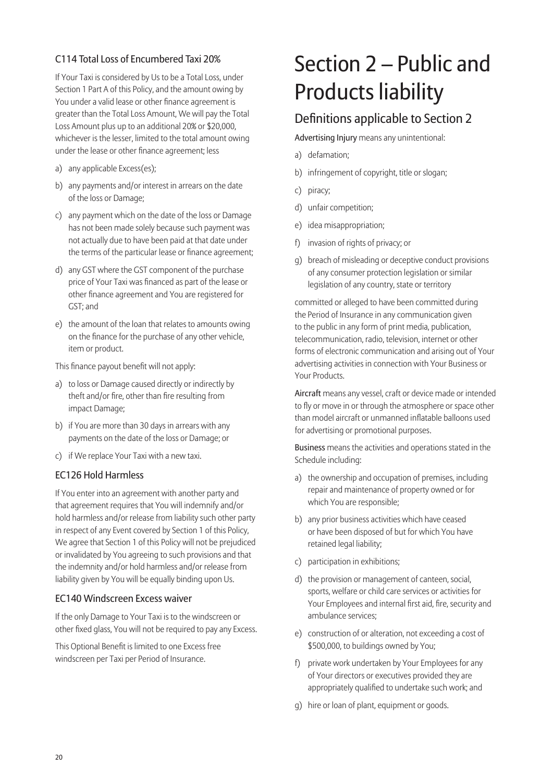# C114 Total Loss of Encumbered Taxi 20%

If Your Taxi is considered by Us to be a Total Loss, under Section 1 Part A of this Policy, and the amount owing by You under a valid lease or other finance agreement is greater than the Total Loss Amount, We will pay the Total Loss Amount plus up to an additional 20% or \$20,000, whichever is the lesser, limited to the total amount owing under the lease or other finance agreement; less

- a) any applicable Excess(es);
- b) any payments and/or interest in arrears on the date of the loss or Damage;
- c) any payment which on the date of the loss or Damage has not been made solely because such payment was not actually due to have been paid at that date under the terms of the particular lease or finance agreement:
- d) any GST where the GST component of the purchase price of Your Taxi was financed as part of the lease or other finance agreement and You are registered for GST; and
- e) the amount of the loan that relates to amounts owing on the finance for the purchase of any other vehicle, item or product.

This finance payout benefit will not apply:

- a) to loss or Damage caused directly or indirectly by theft and/or fire, other than fire resulting from impact Damage;
- b) if You are more than 30 days in arrears with any payments on the date of the loss or Damage; or
- c) if We replace Your Taxi with a new taxi.

#### EC126 Hold Harmless

If You enter into an agreement with another party and that agreement requires that You will indemnify and/or hold harmless and/or release from liability such other party in respect of any Event covered by Section 1 of this Policy, We agree that Section 1 of this Policy will not be prejudiced or invalidated by You agreeing to such provisions and that the indemnity and/or hold harmless and/or release from liability given by You will be equally binding upon Us.

#### EC140 Windscreen Excess waiver

If the only Damage to Your Taxi is to the windscreen or other fixed glass, You will not be required to pay any Excess.

This Optional Benefit is limited to one Excess free windscreen per Taxi per Period of Insurance.

# Section 2 – Public and Products liability

# Definitions applicable to Section 2

Advertising Injury means any unintentional:

- a) defamation;
- b) infringement of copyright, title or slogan;
- c) piracy;
- d) unfair competition;
- e) idea misappropriation;
- f) invasion of rights of privacy; or
- g) breach of misleading or deceptive conduct provisions of any consumer protection legislation or similar legislation of any country, state or territory

committed or alleged to have been committed during the Period of Insurance in any communication given to the public in any form of print media, publication, telecommunication, radio, television, internet or other forms of electronic communication and arising out of Your advertising activities in connection with Your Business or Your Products.

Aircraft means any vessel, craft or device made or intended to fly or move in or through the atmosphere or space other than model aircraft or unmanned inflatable balloons used for advertising or promotional purposes.

Business means the activities and operations stated in the Schedule including:

- a) the ownership and occupation of premises, including repair and maintenance of property owned or for which You are responsible;
- b) any prior business activities which have ceased or have been disposed of but for which You have retained legal liability;
- c) participation in exhibitions;
- d) the provision or management of canteen, social, sports, welfare or child care services or activities for Your Employees and internal first aid, fire, security and ambulance services;
- e) construction of or alteration, not exceeding a cost of \$500,000, to buildings owned by You;
- f) private work undertaken by Your Employees for any of Your directors or executives provided they are appropriately qualified to undertake such work; and
- g) hire or loan of plant, equipment or goods.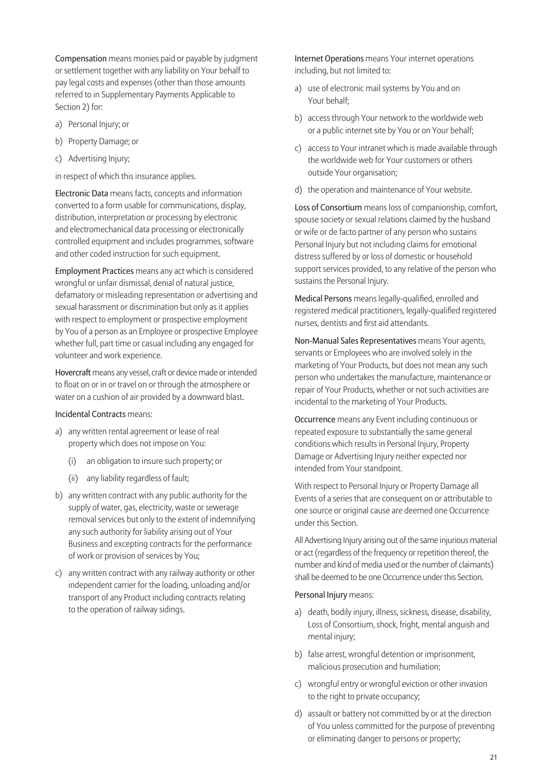Compensation means monies paid or payable by judgment or settlement together with any liability on Your behalf to pay legal costs and expenses (other than those amounts referred to in Supplementary Payments Applicable to Section 2) for:

- a) Personal Injury; or
- b) Property Damage; or
- c) Advertising Injury;

in respect of which this insurance applies.

Electronic Data means facts, concepts and information converted to a form usable for communications, display, distribution, interpretation or processing by electronic and electromechanical data processing or electronically controlled equipment and includes programmes, software and other coded instruction for such equipment.

Employment Practices means any act which is considered wrongful or unfair dismissal, denial of natural justice, defamatory or misleading representation or advertising and sexual harassment or discrimination but only as it applies with respect to employment or prospective employment by You of a person as an Employee or prospective Employee whether full, part time or casual including any engaged for volunteer and work experience.

Hovercraft means any vessel, craft or device made or intended to float on or in or travel on or through the atmosphere or water on a cushion of air provided by a downward blast.

Incidental Contracts means:

- a) any written rental agreement or lease of real property which does not impose on You:
	- (i) an obligation to insure such property; or
	- (ii) any liability regardless of fault;
- b) any written contract with any public authority for the supply of water, gas, electricity, waste or sewerage removal services but only to the extent of indemnifying any such authority for liability arising out of Your Business and excepting contracts for the performance of work or provision of services by You;
- c) any written contract with any railway authority or other independent carrier for the loading, unloading and/or transport of any Product including contracts relating to the operation of railway sidings.

Internet Operations means Your internet operations including, but not limited to:

- a) use of electronic mail systems by You and on Your behalf;
- b) access through Your network to the worldwide web or a public internet site by You or on Your behalf;
- c) access to Your intranet which is made available through the worldwide web for Your customers or others outside Your organisation;
- d) the operation and maintenance of Your website.

Loss of Consortium means loss of companionship, comfort, spouse society or sexual relations claimed by the husband or wife or de facto partner of any person who sustains Personal Injury but not including claims for emotional distress suffered by or loss of domestic or household support services provided, to any relative of the person who sustains the Personal Injury.

Medical Persons means legally-qualified, enrolled and registered medical practitioners, legally-qualified registered nurses, dentists and first aid attendants.

Non-Manual Sales Representatives means Your agents, servants or Employees who are involved solely in the marketing of Your Products, but does not mean any such person who undertakes the manufacture, maintenance or repair of Your Products, whether or not such activities are incidental to the marketing of Your Products.

Occurrence means any Event including continuous or repeated exposure to substantially the same general conditions which results in Personal Injury, Property Damage or Advertising Injury neither expected nor intended from Your standpoint.

With respect to Personal Injury or Property Damage all Events of a series that are consequent on or attributable to one source or original cause are deemed one Occurrence under this Section.

All Advertising Injury arising out of the same injurious material or act (regardless of the frequency or repetition thereof, the number and kind of media used or the number of claimants) shall be deemed to be one Occurrence under this Section.

#### Personal Injury means:

- a) death, bodily injury, illness, sickness, disease, disability, Loss of Consortium, shock, fright, mental anguish and mental injury;
- b) false arrest, wrongful detention or imprisonment, malicious prosecution and humiliation;
- c) wrongful entry or wrongful eviction or other invasion to the right to private occupancy;
- d) assault or battery not committed by or at the direction of You unless committed for the purpose of preventing or eliminating danger to persons or property;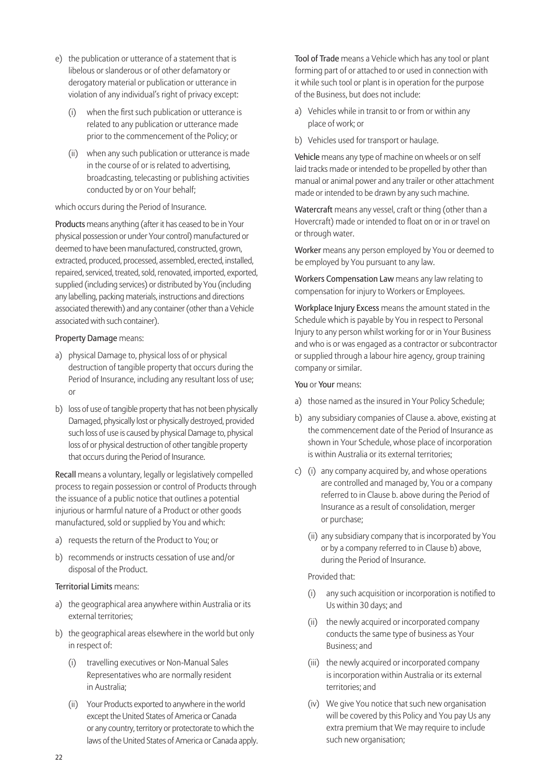- e) the publication or utterance of a statement that is libelous or slanderous or of other defamatory or derogatory material or publication or utterance in violation of any individual's right of privacy except:
	- (i) when the first such publication or utterance is related to any publication or utterance made prior to the commencement of the Policy; or
	- (ii) when any such publication or utterance is made in the course of or is related to advertising, broadcasting, telecasting or publishing activities conducted by or on Your behalf;

#### which occurs during the Period of Insurance.

Products means anything (after it has ceased to be in Your physical possession or under Your control) manufactured or deemed to have been manufactured, constructed, grown, extracted, produced, processed, assembled, erected, installed, repaired, serviced, treated, sold, renovated, imported, exported, supplied (including services) or distributed by You (including any labelling, packing materials, instructions and directions associated therewith) and any container (other than a Vehicle associated with such container).

#### Property Damage means:

- a) physical Damage to, physical loss of or physical destruction of tangible property that occurs during the Period of Insurance, including any resultant loss of use; or
- b) loss of use of tangible property that has not been physically Damaged, physically lost or physically destroyed, provided such loss of use is caused by physical Damage to, physical loss of or physical destruction of other tangible property that occurs during the Period of Insurance.

Recall means a voluntary, legally or legislatively compelled process to regain possession or control of Products through the issuance of a public notice that outlines a potential injurious or harmful nature of a Product or other goods manufactured, sold or supplied by You and which:

- a) requests the return of the Product to You; or
- b) recommends or instructs cessation of use and/or disposal of the Product.

#### Territorial Limits means:

- a) the geographical area anywhere within Australia or its external territories;
- b) the geographical areas elsewhere in the world but only in respect of:
	- (i) travelling executives or Non-Manual Sales Representatives who are normally resident in Australia;
	- (ii) Your Products exported to anywhere in the world except the United States of America or Canada or any country, territory or protectorate to which the laws of the United States of America or Canada apply.

Tool of Trade means a Vehicle which has any tool or plant forming part of or attached to or used in connection with it while such tool or plant is in operation for the purpose of the Business, but does not include:

- a) Vehicles while in transit to or from or within any place of work; or
- b) Vehicles used for transport or haulage.

Vehicle means any type of machine on wheels or on self laid tracks made or intended to be propelled by other than manual or animal power and any trailer or other attachment made or intended to be drawn by any such machine.

Watercraft means any vessel, craft or thing (other than a Hovercraft) made or intended to float on or in or travel on or through water.

Worker means any person employed by You or deemed to be employed by You pursuant to any law.

Workers Compensation Law means any law relating to compensation for injury to Workers or Employees.

Workplace Injury Excess means the amount stated in the Schedule which is payable by You in respect to Personal Injury to any person whilst working for or in Your Business and who is or was engaged as a contractor or subcontractor or supplied through a labour hire agency, group training company or similar.

You or Your means:

- a) those named as the insured in Your Policy Schedule;
- b) any subsidiary companies of Clause a. above, existing at the commencement date of the Period of Insurance as shown in Your Schedule, whose place of incorporation is within Australia or its external territories;
- c) (i) any company acquired by, and whose operations are controlled and managed by, You or a company referred to in Clause b. above during the Period of Insurance as a result of consolidation, merger or purchase;
	- (ii) any subsidiary company that is incorporated by You or by a company referred to in Clause b) above, during the Period of Insurance.

Provided that:

- (i) any such acquisition or incorporation is notified to Us within 30 days; and
- (ii) the newly acquired or incorporated company conducts the same type of business as Your Business; and
- (iii) the newly acquired or incorporated company is incorporation within Australia or its external territories; and
- (iv) We give You notice that such new organisation will be covered by this Policy and You pay Us any extra premium that We may require to include such new organisation;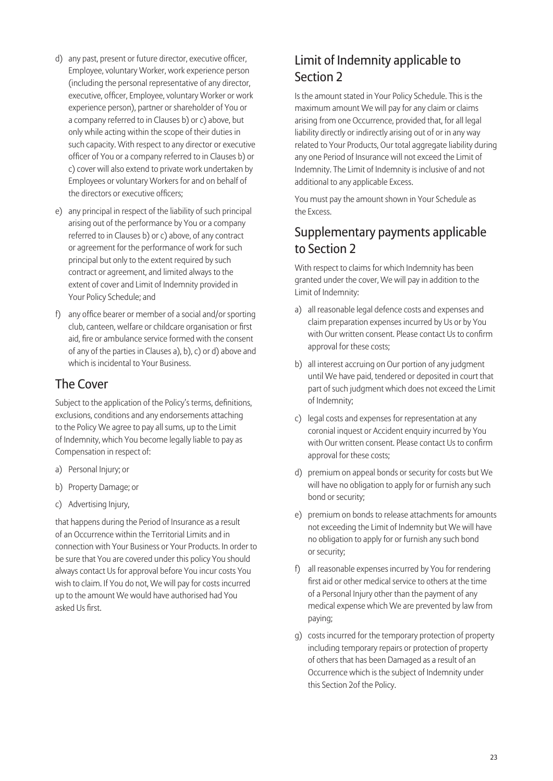- d) any past, present or future director, executive officer, Employee, voluntary Worker, work experience person (including the personal representative of any director, executive, officer, Employee, voluntary Worker or work experience person), partner or shareholder of You or a company referred to in Clauses b) or c) above, but only while acting within the scope of their duties in such capacity. With respect to any director or executive officer of You or a company referred to in Clauses b) or c) cover will also extend to private work undertaken by Employees or voluntary Workers for and on behalf of the directors or executive officers:
- e) any principal in respect of the liability of such principal arising out of the performance by You or a company referred to in Clauses b) or c) above, of any contract or agreement for the performance of work for such principal but only to the extent required by such contract or agreement, and limited always to the extent of cover and Limit of Indemnity provided in Your Policy Schedule; and
- f) any office bearer or member of a social and/or sporting club, canteen, welfare or childcare organisation or first aid, fire or ambulance service formed with the consent of any of the parties in Clauses a), b), c) or d) above and which is incidental to Your Business.

# The Cover

Subject to the application of the Policy's terms, definitions, exclusions, conditions and any endorsements attaching to the Policy We agree to pay all sums, up to the Limit of Indemnity, which You become legally liable to pay as Compensation in respect of:

- a) Personal Injury; or
- b) Property Damage; or
- c) Advertising Injury,

that happens during the Period of Insurance as a result of an Occurrence within the Territorial Limits and in connection with Your Business or Your Products. In order to be sure that You are covered under this policy You should always contact Us for approval before You incur costs You wish to claim. If You do not, We will pay for costs incurred up to the amount We would have authorised had You asked Us first.

# Limit of Indemnity applicable to Section 2

Is the amount stated in Your Policy Schedule. This is the maximum amount We will pay for any claim or claims arising from one Occurrence, provided that, for all legal liability directly or indirectly arising out of or in any way related to Your Products, Our total aggregate liability during any one Period of Insurance will not exceed the Limit of Indemnity. The Limit of Indemnity is inclusive of and not additional to any applicable Excess.

You must pay the amount shown in Your Schedule as the Excess.

# Supplementary payments applicable to Section 2

With respect to claims for which Indemnity has been granted under the cover, We will pay in addition to the Limit of Indemnity:

- a) all reasonable legal defence costs and expenses and claim preparation expenses incurred by Us or by You with Our written consent. Please contact Us to confirm approval for these costs;
- b) all interest accruing on Our portion of any judgment until We have paid, tendered or deposited in court that part of such judgment which does not exceed the Limit of Indemnity;
- c) legal costs and expenses for representation at any coronial inquest or Accident enquiry incurred by You with Our written consent. Please contact Us to confirm approval for these costs;
- d) premium on appeal bonds or security for costs but We will have no obligation to apply for or furnish any such bond or security;
- e) premium on bonds to release attachments for amounts not exceeding the Limit of Indemnity but We will have no obligation to apply for or furnish any such bond or security;
- f) all reasonable expenses incurred by You for rendering first aid or other medical service to others at the time of a Personal Injury other than the payment of any medical expense which We are prevented by law from paying;
- g) costs incurred for the temporary protection of property including temporary repairs or protection of property of others that has been Damaged as a result of an Occurrence which is the subject of Indemnity under this Section 2of the Policy.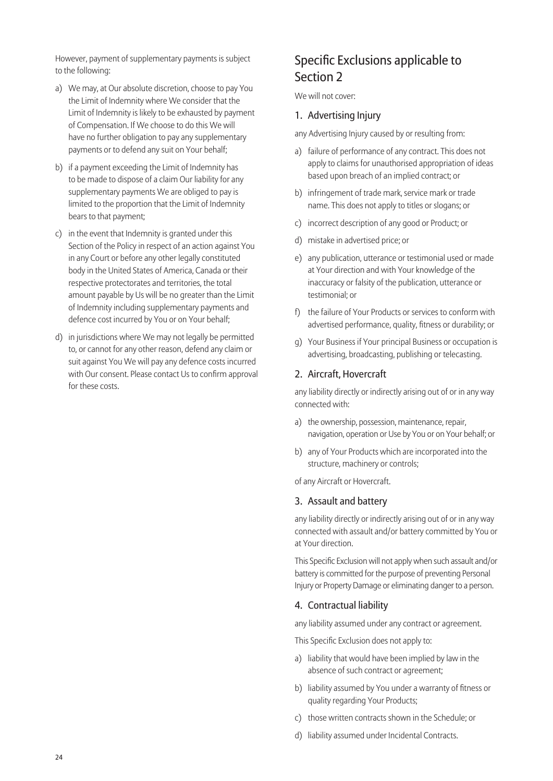However, payment of supplementary payments is subject to the following:

- a) We may, at Our absolute discretion, choose to pay You the Limit of Indemnity where We consider that the Limit of Indemnity is likely to be exhausted by payment of Compensation. If We choose to do this We will have no further obligation to pay any supplementary payments or to defend any suit on Your behalf;
- b) if a payment exceeding the Limit of Indemnity has to be made to dispose of a claim Our liability for any supplementary payments We are obliged to pay is limited to the proportion that the Limit of Indemnity bears to that payment;
- c) in the event that Indemnity is granted under this Section of the Policy in respect of an action against You in any Court or before any other legally constituted body in the United States of America, Canada or their respective protectorates and territories, the total amount payable by Us will be no greater than the Limit of Indemnity including supplementary payments and defence cost incurred by You or on Your behalf;
- d) in jurisdictions where We may not legally be permitted to, or cannot for any other reason, defend any claim or suit against You We will pay any defence costs incurred with Our consent. Please contact Us to confirm approval for these costs.

# Specific Exclusions applicable to Section 2

We will not cover:

#### 1. Advertising Injury

any Advertising Injury caused by or resulting from:

- a) failure of performance of any contract. This does not apply to claims for unauthorised appropriation of ideas based upon breach of an implied contract; or
- b) infringement of trade mark, service mark or trade name. This does not apply to titles or slogans; or
- c) incorrect description of any good or Product; or
- d) mistake in advertised price; or
- e) any publication, utterance or testimonial used or made at Your direction and with Your knowledge of the inaccuracy or falsity of the publication, utterance or testimonial; or
- f) the failure of Your Products or services to conform with advertised performance, quality, fitness or durability; or
- g) Your Business if Your principal Business or occupation is advertising, broadcasting, publishing or telecasting.

#### 2. Aircraft, Hovercraft

any liability directly or indirectly arising out of or in any way connected with:

- a) the ownership, possession, maintenance, repair, navigation, operation or Use by You or on Your behalf; or
- b) any of Your Products which are incorporated into the structure, machinery or controls;

of any Aircraft or Hovercraft.

#### 3. Assault and battery

any liability directly or indirectly arising out of or in any way connected with assault and/or battery committed by You or at Your direction.

This Specific Exclusion will not apply when such assault and/or battery is committed for the purpose of preventing Personal Injury or Property Damage or eliminating danger to a person.

#### 4. Contractual liability

any liability assumed under any contract or agreement.

This Specific Exclusion does not apply to:

- a) liability that would have been implied by law in the absence of such contract or agreement;
- b) liability assumed by You under a warranty of fitness or quality regarding Your Products;
- c) those written contracts shown in the Schedule; or
- d) liability assumed under Incidental Contracts.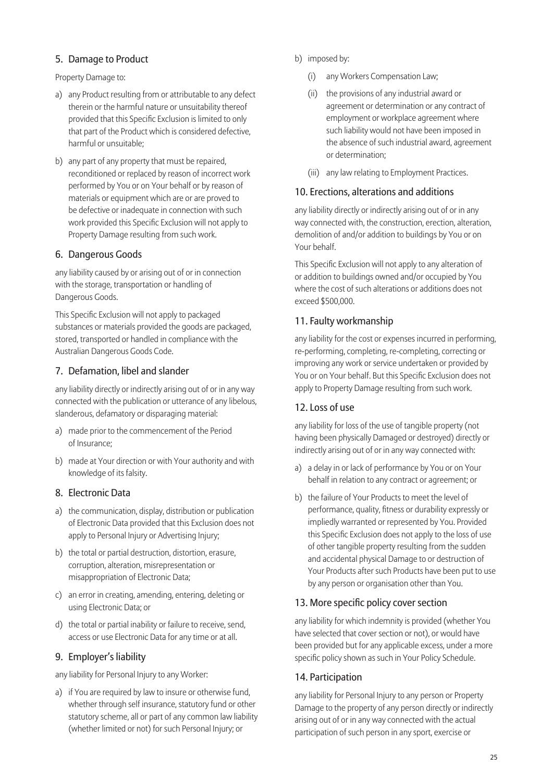## 5. Damage to Product

Property Damage to:

- a) any Product resulting from or attributable to any defect therein or the harmful nature or unsuitability thereof provided that this Specific Exclusion is limited to only that part of the Product which is considered defective, harmful or unsuitable;
- b) any part of any property that must be repaired, reconditioned or replaced by reason of incorrect work performed by You or on Your behalf or by reason of materials or equipment which are or are proved to be defective or inadequate in connection with such work provided this Specific Exclusion will not apply to Property Damage resulting from such work.

#### 6. Dangerous Goods

any liability caused by or arising out of or in connection with the storage, transportation or handling of Dangerous Goods.

This Specific Exclusion will not apply to packaged substances or materials provided the goods are packaged, stored, transported or handled in compliance with the Australian Dangerous Goods Code.

#### 7. Defamation, libel and slander

any liability directly or indirectly arising out of or in any way connected with the publication or utterance of any libelous, slanderous, defamatory or disparaging material:

- a) made prior to the commencement of the Period of Insurance;
- b) made at Your direction or with Your authority and with knowledge of its falsity.

#### 8. Electronic Data

- a) the communication, display, distribution or publication of Electronic Data provided that this Exclusion does not apply to Personal Injury or Advertising Injury;
- b) the total or partial destruction, distortion, erasure, corruption, alteration, misrepresentation or misappropriation of Electronic Data;
- c) an error in creating, amending, entering, deleting or using Electronic Data; or
- d) the total or partial inability or failure to receive, send, access or use Electronic Data for any time or at all.

#### 9. Employer's liability

any liability for Personal Injury to any Worker:

a) if You are required by law to insure or otherwise fund, whether through self insurance, statutory fund or other statutory scheme, all or part of any common law liability (whether limited or not) for such Personal Injury; or

- b) imposed by:
	- (i) any Workers Compensation Law;
	- (ii) the provisions of any industrial award or agreement or determination or any contract of employment or workplace agreement where such liability would not have been imposed in the absence of such industrial award, agreement or determination;
	- (iii) any law relating to Employment Practices.

#### 10. Erections, alterations and additions

any liability directly or indirectly arising out of or in any way connected with, the construction, erection, alteration, demolition of and/or addition to buildings by You or on Your behalf.

This Specific Exclusion will not apply to any alteration of or addition to buildings owned and/or occupied by You where the cost of such alterations or additions does not exceed \$500,000.

### 11. Faulty workmanship

any liability for the cost or expenses incurred in performing, re-performing, completing, re-completing, correcting or improving any work or service undertaken or provided by You or on Your behalf. But this Specific Exclusion does not apply to Property Damage resulting from such work.

#### 12. Loss of use

any liability for loss of the use of tangible property (not having been physically Damaged or destroyed) directly or indirectly arising out of or in any way connected with:

- a) a delay in or lack of performance by You or on Your behalf in relation to any contract or agreement; or
- b) the failure of Your Products to meet the level of performance, quality, fitness or durability expressly or impliedly warranted or represented by You. Provided this Specific Exclusion does not apply to the loss of use of other tangible property resulting from the sudden and accidental physical Damage to or destruction of Your Products after such Products have been put to use by any person or organisation other than You.

#### 13. More specific policy cover section

any liability for which indemnity is provided (whether You have selected that cover section or not), or would have been provided but for any applicable excess, under a more specific policy shown as such in Your Policy Schedule.

#### 14. Participation

any liability for Personal Injury to any person or Property Damage to the property of any person directly or indirectly arising out of or in any way connected with the actual participation of such person in any sport, exercise or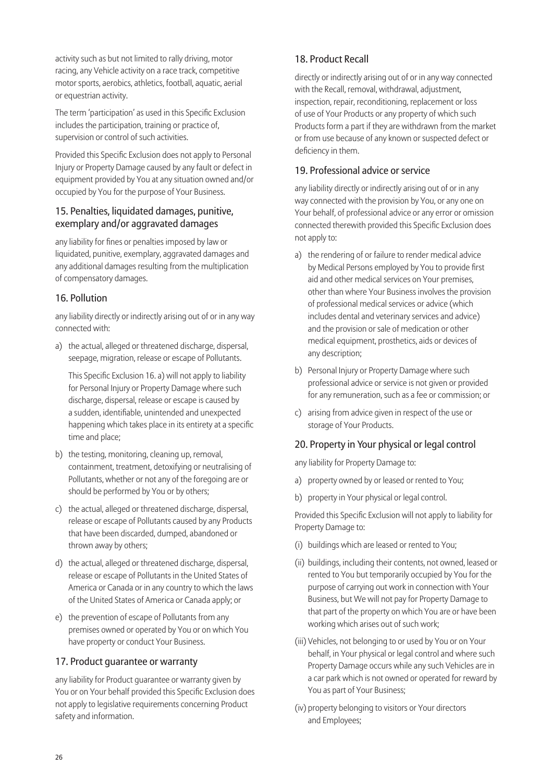activity such as but not limited to rally driving, motor racing, any Vehicle activity on a race track, competitive motor sports, aerobics, athletics, football, aquatic, aerial or equestrian activity.

The term 'participation' as used in this Specific Exclusion includes the participation, training or practice of, supervision or control of such activities.

Provided this Specific Exclusion does not apply to Personal Injury or Property Damage caused by any fault or defect in equipment provided by You at any situation owned and/or occupied by You for the purpose of Your Business.

### 15. Penalties, liquidated damages, punitive, exemplary and/or aggravated damages

any liability for fines or penalties imposed by law or liquidated, punitive, exemplary, aggravated damages and any additional damages resulting from the multiplication of compensatory damages.

## 16. Pollution

any liability directly or indirectly arising out of or in any way connected with:

a) the actual, alleged or threatened discharge, dispersal, seepage, migration, release or escape of Pollutants.

This Specific Exclusion 16. a) will not apply to liability for Personal Injury or Property Damage where such discharge, dispersal, release or escape is caused by a sudden, identifiable, unintended and unexpected happening which takes place in its entirety at a specific time and place;

- b) the testing, monitoring, cleaning up, removal, containment, treatment, detoxifying or neutralising of Pollutants, whether or not any of the foregoing are or should be performed by You or by others;
- c) the actual, alleged or threatened discharge, dispersal, release or escape of Pollutants caused by any Products that have been discarded, dumped, abandoned or thrown away by others;
- d) the actual, alleged or threatened discharge, dispersal, release or escape of Pollutants in the United States of America or Canada or in any country to which the laws of the United States of America or Canada apply; or
- e) the prevention of escape of Pollutants from any premises owned or operated by You or on which You have property or conduct Your Business.

## 17. Product guarantee or warranty

any liability for Product guarantee or warranty given by You or on Your behalf provided this Specific Exclusion does not apply to legislative requirements concerning Product safety and information.

# 18. Product Recall

directly or indirectly arising out of or in any way connected with the Recall, removal, withdrawal, adjustment, inspection, repair, reconditioning, replacement or loss of use of Your Products or any property of which such Products form a part if they are withdrawn from the market or from use because of any known or suspected defect or deficiency in them.

# 19. Professional advice or service

any liability directly or indirectly arising out of or in any way connected with the provision by You, or any one on Your behalf, of professional advice or any error or omission connected therewith provided this Specific Exclusion does not apply to:

- a) the rendering of or failure to render medical advice by Medical Persons employed by You to provide first aid and other medical services on Your premises, other than where Your Business involves the provision of professional medical services or advice (which includes dental and veterinary services and advice) and the provision or sale of medication or other medical equipment, prosthetics, aids or devices of any description;
- b) Personal Injury or Property Damage where such professional advice or service is not given or provided for any remuneration, such as a fee or commission; or
- c) arising from advice given in respect of the use or storage of Your Products.

# 20. Property in Your physical or legal control

any liability for Property Damage to:

- a) property owned by or leased or rented to You;
- b) property in Your physical or legal control.

Provided this Specific Exclusion will not apply to liability for Property Damage to:

- (i) buildings which are leased or rented to You;
- (ii) buildings, including their contents, not owned, leased or rented to You but temporarily occupied by You for the purpose of carrying out work in connection with Your Business, but We will not pay for Property Damage to that part of the property on which You are or have been working which arises out of such work;
- (iii) Vehicles, not belonging to or used by You or on Your behalf, in Your physical or legal control and where such Property Damage occurs while any such Vehicles are in a car park which is not owned or operated for reward by You as part of Your Business;
- (iv) property belonging to visitors or Your directors and Employees;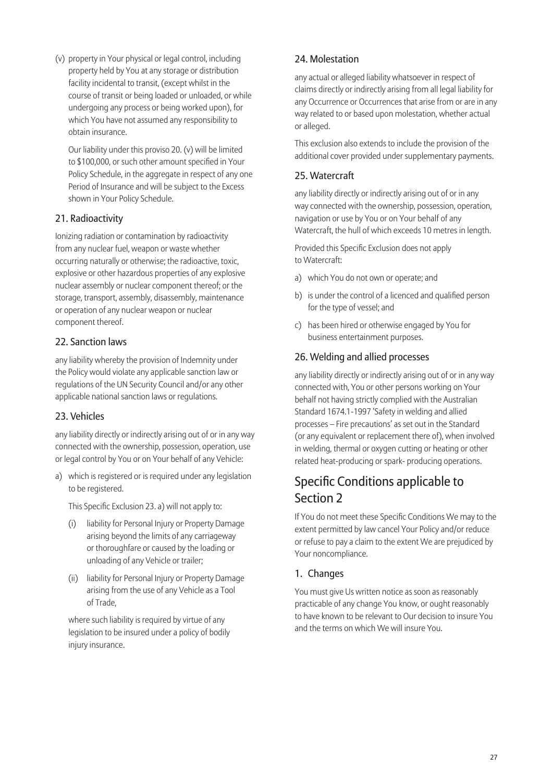(v) property in Your physical or legal control, including property held by You at any storage or distribution facility incidental to transit, (except whilst in the course of transit or being loaded or unloaded, or while undergoing any process or being worked upon), for which You have not assumed any responsibility to obtain insurance.

 Our liability under this proviso 20. (v) will be limited to \$100,000, or such other amount specified in Your Policy Schedule, in the aggregate in respect of any one Period of Insurance and will be subject to the Excess shown in Your Policy Schedule.

### 21. Radioactivity

Ionizing radiation or contamination by radioactivity from any nuclear fuel, weapon or waste whether occurring naturally or otherwise; the radioactive, toxic, explosive or other hazardous properties of any explosive nuclear assembly or nuclear component thereof; or the storage, transport, assembly, disassembly, maintenance or operation of any nuclear weapon or nuclear component thereof.

### 22. Sanction laws

any liability whereby the provision of Indemnity under the Policy would violate any applicable sanction law or regulations of the UN Security Council and/or any other applicable national sanction laws or regulations.

## 23. Vehicles

any liability directly or indirectly arising out of or in any way connected with the ownership, possession, operation, use or legal control by You or on Your behalf of any Vehicle:

a) which is registered or is required under any legislation to be registered.

This Specific Exclusion 23. a) will not apply to:

- (i) liability for Personal Injury or Property Damage arising beyond the limits of any carriageway or thoroughfare or caused by the loading or unloading of any Vehicle or trailer;
- (ii) liability for Personal Injury or Property Damage arising from the use of any Vehicle as a Tool of Trade,

 where such liability is required by virtue of any legislation to be insured under a policy of bodily injury insurance.

# 24. Molestation

any actual or alleged liability whatsoever in respect of claims directly or indirectly arising from all legal liability for any Occurrence or Occurrences that arise from or are in any way related to or based upon molestation, whether actual or alleged.

This exclusion also extends to include the provision of the additional cover provided under supplementary payments.

### 25. Watercraft

any liability directly or indirectly arising out of or in any way connected with the ownership, possession, operation, navigation or use by You or on Your behalf of any Watercraft, the hull of which exceeds 10 metres in length.

Provided this Specific Exclusion does not apply to Watercraft:

- a) which You do not own or operate; and
- b) is under the control of a licenced and qualified person for the type of vessel; and
- c) has been hired or otherwise engaged by You for business entertainment purposes.

#### 26. Welding and allied processes

any liability directly or indirectly arising out of or in any way connected with, You or other persons working on Your behalf not having strictly complied with the Australian Standard 1674.1-1997 'Safety in welding and allied processes – Fire precautions' as set out in the Standard (or any equivalent or replacement there of), when involved in welding, thermal or oxygen cutting or heating or other related heat-producing or spark- producing operations.

# Specific Conditions applicable to Section 2

If You do not meet these Specific Conditions We may to the extent permitted by law cancel Your Policy and/or reduce or refuse to pay a claim to the extent We are prejudiced by Your noncompliance.

## 1. Changes

You must give Us written notice as soon as reasonably practicable of any change You know, or ought reasonably to have known to be relevant to Our decision to insure You and the terms on which We will insure You.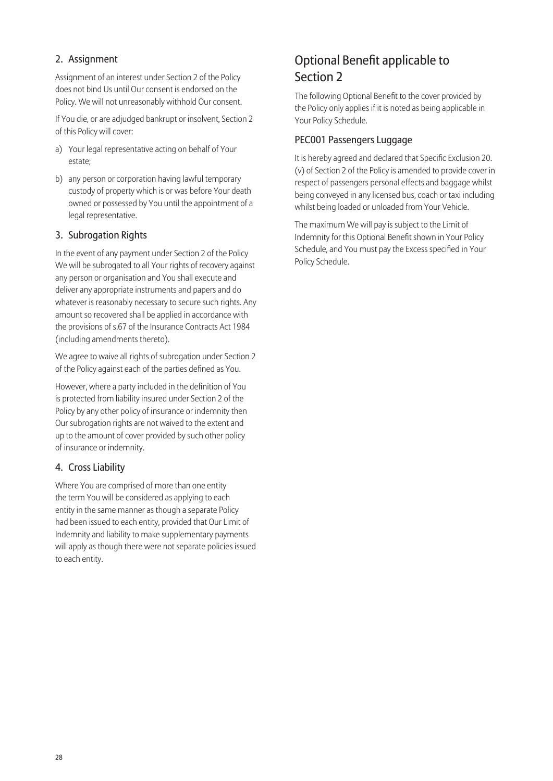# 2. Assignment

Assignment of an interest under Section 2 of the Policy does not bind Us until Our consent is endorsed on the Policy. We will not unreasonably withhold Our consent.

If You die, or are adjudged bankrupt or insolvent, Section 2 of this Policy will cover:

- a) Your legal representative acting on behalf of Your estate;
- b) any person or corporation having lawful temporary custody of property which is or was before Your death owned or possessed by You until the appointment of a legal representative.

## 3. Subrogation Rights

In the event of any payment under Section 2 of the Policy We will be subrogated to all Your rights of recovery against any person or organisation and You shall execute and deliver any appropriate instruments and papers and do whatever is reasonably necessary to secure such rights. Any amount so recovered shall be applied in accordance with the provisions of s.67 of the Insurance Contracts Act 1984 (including amendments thereto).

We agree to waive all rights of subrogation under Section 2 of the Policy against each of the parties defined as You.

However, where a party included in the definition of You is protected from liability insured under Section 2 of the Policy by any other policy of insurance or indemnity then Our subrogation rights are not waived to the extent and up to the amount of cover provided by such other policy of insurance or indemnity.

#### 4. Cross Liability

Where You are comprised of more than one entity the term You will be considered as applying to each entity in the same manner as though a separate Policy had been issued to each entity, provided that Our Limit of Indemnity and liability to make supplementary payments will apply as though there were not separate policies issued to each entity.

# Optional Benefit applicable to Section 2

The following Optional Benefit to the cover provided by the Policy only applies if it is noted as being applicable in Your Policy Schedule.

### PEC001 Passengers Luggage

It is hereby agreed and declared that Specific Exclusion 20. (v) of Section 2 of the Policy is amended to provide cover in respect of passengers personal effects and baggage whilst being conveyed in any licensed bus, coach or taxi including whilst being loaded or unloaded from Your Vehicle.

The maximum We will pay is subject to the Limit of Indemnity for this Optional Benefit shown in Your Policy Schedule, and You must pay the Excess specified in Your Policy Schedule.